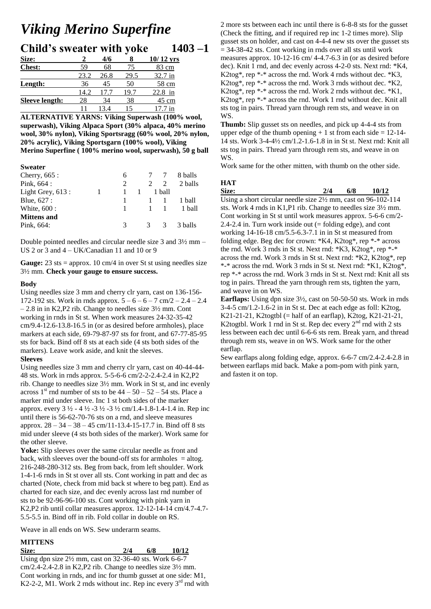## *Viking Merino Superfine*

|        | <b>Child's sweater with yoke</b> |  | $1403 - 1$ |
|--------|----------------------------------|--|------------|
| $\sim$ |                                  |  |            |

| Size:                 |      | 4/6  |      | $10/12$ yrs |
|-----------------------|------|------|------|-------------|
| <b>Chest:</b>         | 59   | 68   | 75   | 83 cm       |
|                       | 23.2 | 26.8 | 29.5 | $32.7$ in   |
| Length:               | 36   | 45   | 50   | 58 cm       |
|                       | 14.2 |      |      | 22.8<br>in  |
| <b>Sleeve length:</b> | 28   | 34   | 38   | 45 cm       |
|                       |      |      |      | 1n          |

**ALTERNATIVE YARNS: Viking Superwash (100% wool, superwash), Viking Alpaca Sport (30% alpaca, 40% merino wool, 30% nylon), Viking Sportsragg (60% wool, 20% nylon, 20% acrylic), Viking Sportsgarn (100% wool), Viking Merino Superfine ( 100% merino wool, superwash), 50 g ball**

#### **Sweater**

| 8 balls |
|---------|
| 2 balls |
|         |
| 1 ball  |
| 1 ball  |
|         |
| 3 balls |
|         |

Double pointed needles and circular needle size 3 and 3½ mm – US 2 or 3 and 4 – UK/Canadian 11 and 10 or 9

Gauge: 23 sts = approx. 10 cm/4 in over St st using needles size 3½ mm. **Check your gauge to ensure success.** 

#### **Body**

Using needles size 3 mm and cherry clr yarn, cast on 136-156- 172-192 sts. Work in rnds approx.  $5 - 6 - 6 - 7$  cm/2 – 2.4 – 2.4 – 2.8 in in K2,P2 rib. Change to needles size 3½ mm. Cont working in rnds in St st. When work measures 24-32-35-42 cm/9.4-12.6-13.8-16.5 in (or as desired before armholes), place markers at each side, 69-79-87-97 sts for front, and 67-77-85-95 sts for back. Bind off 8 sts at each side (4 sts both sides of the markers). Leave work aside, and knit the sleeves.

## **Sleeves**

Using needles size 3 mm and cherry clr yarn, cast on 40-44-44- 48 sts. Work in rnds approx. 5-5-6-6 cm/2-2-2.4-2.4 in K2,P2 rib. Change to needles size 3½ mm. Work in St st, and inc evenly across 1<sup>st</sup> rnd number of sts to be  $44 - 50 - 52 - 54$  sts. Place a marker mid under sleeve. Inc 1 st both sides of the marker approx. every  $3\frac{1}{2}$  -  $4\frac{1}{2}$  -  $3\frac{1}{2}$  -  $3\frac{1}{2}$  cm/1.4-1.8-1.4-1.4 in. Rep inc until there is 56-62-70-76 sts on a rnd, and sleeve measures approx.  $28 - 34 - 38 - 45$  cm/11-13.4-15-17.7 in. Bind off 8 sts mid under sleeve (4 sts both sides of the marker). Work same for the other sleeve.

Yoke: Slip sleeves over the same circular needle as front and back, with sleeves over the bound-off sts for armholes  $=$  altog. 216-248-280-312 sts. Beg from back, from left shoulder. Work 1-4-1-6 rnds in St st over all sts. Cont working in patt and dec as charted (Note, check from mid back st where to beg patt). End as charted for each size, and dec evenly across last rnd number of sts to be 92-96-96-100 sts. Cont working with pink yarn in K2,P2 rib until collar measures approx. 12-12-14-14 cm/4.7-4.7- 5.5-5.5 in. Bind off in rib. Fold collar in double on RS.

Weave in all ends on WS. Sew underarm seams.

# **MITTENS**

**Size: 2/4 6/8 10/12**  Using dpn size 2½ mm, cast on 32-36-40 sts. Work 6-6-7 cm/2.4-2.4-2.8 in K2,P2 rib. Change to needles size 3½ mm. Cont working in rnds, and inc for thumb gusset at one side: M1, K2-2-2, M1. Work 2 rnds without inc. Rep inc every  $3<sup>rd</sup>$  rnd with 2 more sts between each inc until there is 6-8-8 sts for the gusset (Check the fitting, and if required rep inc 1-2 times more). Slip gusset sts on holder, and cast on 4-4-4 new sts over the gusset sts  $= 34-38-42$  sts. Cont working in rnds over all sts until work measures approx. 10-12-16 cm/ 4-4.7-6.3 in (or as desired before dec). Knit 1 rnd, and dec evenly across 4-2-0 sts. Next rnd: \*K4, K2tog\*, rep \*-\* across the rnd. Work 4 rnds without dec.  $K3$ , K2tog\*, rep \*-\* across the rnd. Work 3 rnds without dec.  $K2$ , K2tog\*, rep \*-\* across the rnd. Work 2 rnds without dec.  $*K1$ , K2tog\*, rep \*-\* across the rnd. Work 1 rnd without dec. Knit all sts tog in pairs. Thread yarn through rem sts, and weave in on WS.

**Thumb:** Slip gusset sts on needles, and pick up 4-4-4 sts from upper edge of the thumb opening  $+ 1$  st from each side  $= 12-14-$ 14 sts. Work 3-4-4½ cm/1.2-1.6-1.8 in in St st. Next rnd: Knit all sts tog in pairs. Thread yarn through rem sts, and weave in on WS.

Work same for the other mitten, with thumb on the other side.

## **HAT**

**Size: 2/4 6/8 10/12**  Using a short circular needle size 2½ mm, cast on 96-102-114 sts. Work 4 rnds in K1,P1 rib. Change to needles size 3½ mm. Cont working in St st until work measures approx. 5-6-6 cm/2- 2.4-2.4 in. Turn work inside out  $(=$  folding edge), and cont working 14-16-18 cm/5.5-6.3-7.1 in in St st measured from folding edge. Beg dec for crown: \*K4, K2tog\*, rep \*-\* across the rnd. Work 3 rnds in St st. Next rnd: \*K3, K2tog\*, rep \*-\* across the rnd. Work 3 rnds in St st. Next rnd: \*K2, K2tog\*, rep \*-\* across the rnd. Work 3 rnds in St st. Next rnd: \*K1, K2tog\*, rep \*-\* across the rnd. Work 3 rnds in St st. Next rnd: Knit all sts tog in pairs. Thread the yarn through rem sts, tighten the yarn, and weave in on WS.

**Earflaps:** Using dpn size 3½, cast on 50-50-50 sts. Work in rnds 3-4-5 cm/1.2-1.6-2 in in St st. Dec at each edge as foll: K2tog, K21-21-21, K2togtbl (= half of an earflap), K2tog, K21-21-21, K2togtbl. Work 1 rnd in St st. Rep dec every  $2<sup>nd</sup>$  rnd with 2 sts less between each dec until 6-6-6 sts rem. Break yarn, and thread through rem sts, weave in on WS. Work same for the other earflap.

Sew earflaps along folding edge, approx. 6-6-7 cm/2.4-2.4-2.8 in between earflaps mid back. Make a pom-pom with pink yarn, and fasten it on top.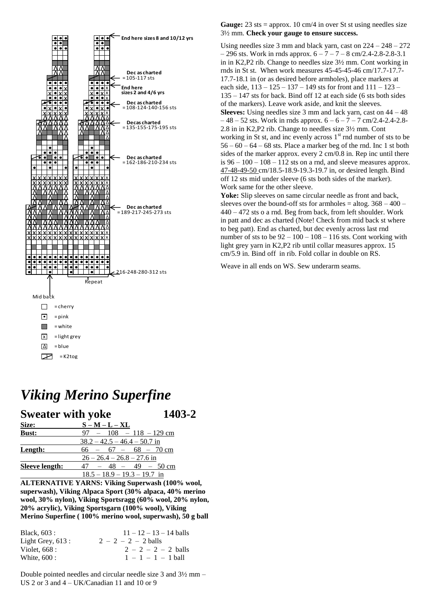

## Gauge: 23 sts = approx. 10 cm/4 in over St st using needles size 3½ mm. **Check your gauge to ensure success.**

Using needles size 3 mm and black yarn, cast on 224 – 248 – 272  $-296$  sts. Work in rnds approx.  $6 - 7 - 7 - 8$  cm/2.4-2.8-2.8-3.1 in in K2,P2 rib. Change to needles size 3½ mm. Cont working in rnds in St st. When work measures 45-45-45-46 cm/17.7-17.7- 17.7-18.1 in (or as desired before armholes), place markers at each side,  $113 - 125 - 137 - 149$  sts for front and  $111 - 123 - 129$ 135 – 147 sts for back. Bind off 12 at each side (6 sts both sides of the markers). Leave work aside, and knit the sleeves. **Sleeves:** Using needles size 3 mm and lack yarn, cast on 44 – 48  $-48 - 52$  sts. Work in rnds approx.  $6 - 6 - 7 - 7$  cm/2.4-2.4-2.8-2.8 in in K2,P2 rib. Change to needles size 3½ mm. Cont working in St st, and inc evenly across  $1<sup>st</sup>$  rnd number of sts to be  $56 - 60 - 64 - 68$  sts. Place a marker beg of the rnd. Inc 1 st both sides of the marker approx. every 2 cm/0.8 in. Rep inc until there is  $96 - 100 - 108 - 112$  sts on a rnd, and sleeve measures approx. 47-48-49-50 cm/18.5-18.9-19.3-19.7 in, or desired length. Bind off 12 sts mid under sleeve (6 sts both sides of the marker). Work same for the other sleeve.

**Yoke:** Slip sleeves on same circular needle as front and back, sleeves over the bound-off sts for armholes = altog.  $368 - 400$  – 440 – 472 sts o a rnd. Beg from back, from left shoulder. Work in patt and dec as charted (Note! Check from mid back st where to beg patt). End as charted, but dec evenly across last rnd number of sts to be  $92 - 100 - 108 - 116$  sts. Cont working with light grey yarn in K2,P2 rib until collar measures approx. 15 cm/5.9 in. Bind off in rib. Fold collar in double on RS.

Weave in all ends on WS. Sew underarm seams.

## *Viking Merino Superfine*

| <b>Sweater with yoke</b> |                                                           | 1403-2 |
|--------------------------|-----------------------------------------------------------|--------|
| Size:                    | $S - M - L - XL$                                          |        |
| <b>Bust:</b>             | $97 - 108 - 118 - 129$ cm                                 |        |
|                          | $38.2 - 42.5 - 46.4 - 50.7$ in                            |        |
| Length:                  | $66 - 67 - 68 - 70$ cm                                    |        |
|                          | $26 - 26.4 - 26.8 - 27.6$ in                              |        |
| <b>Sleeve length:</b>    | $47 - 48 - 49 - 50$ cm                                    |        |
|                          | $18.5 - 18.9 - 19.3 - 19.7$ in                            |        |
|                          | A L TERNALA TIVITE VA DNG. VILLe Components (1000/ $\sim$ |        |

**ALTERNATIVE YARNS: Viking Superwash (100% wool, superwash), Viking Alpaca Sport (30% alpaca, 40% merino wool, 30% nylon), Viking Sportsragg (60% wool, 20% nylon, 20% acrylic), Viking Sportsgarn (100% wool), Viking Merino Superfine ( 100% merino wool, superwash), 50 g ball**

| Black, 603 :        | $11 - 12 - 13 - 14$ balls |
|---------------------|---------------------------|
| Light Grey, $613$ : | $2 - 2 - 2 - 2$ balls     |
| Violet, $668:$      | $2 - 2 - 2 - 2$ balls     |
| White, 600 :        | $1 - 1 - 1 - 1$ hall      |

Double pointed needles and circular needle size 3 and 3½ mm – US 2 or 3 and 4 – UK/Canadian 11 and 10 or 9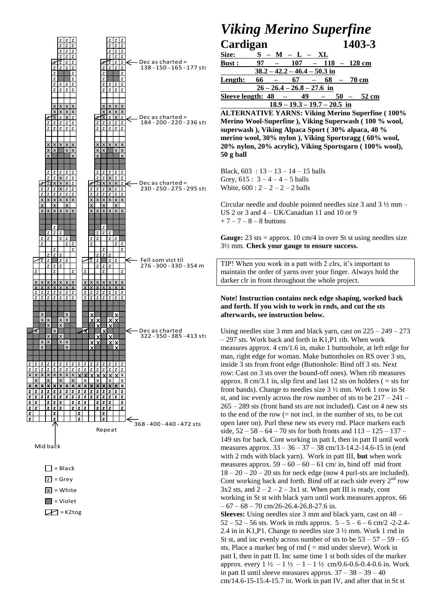

## *Viking Merino Superfine* **Cardigan 1403-3**

| <u>Size:</u>  | $S - M - L - XL$               |                                |        |  |              |                      |
|---------------|--------------------------------|--------------------------------|--------|--|--------------|----------------------|
| <b>Bust :</b> | 97                             | $107 - 118 - 128$ cm           |        |  |              |                      |
|               | $38.2 - 42.2 - 46.4 - 50.3$ in |                                |        |  |              |                      |
| Length:       | $66 -$                         | 67 –                           |        |  | $68 - 70$ cm |                      |
|               | $26 - 26.4 - 26.8 - 27.6$ in   |                                |        |  |              |                      |
|               | Sleeve length: $48 -$          |                                | $49 -$ |  |              | $50 - 52 \text{ cm}$ |
|               |                                | $18.9 - 19.3 - 19.7 - 20.5$ in |        |  |              |                      |

**ALTERNATIVE YARNS: Viking Merino Superfine ( 100% Merino Wool-Superfine ), Viking Superwash ( 100 % wool, superwash ), Viking Alpaca Sport ( 30% alpaca, 40 % merino wool, 30% nylon ), Viking Sportsragg ( 60% wool, 20% nylon, 20% acrylic), Viking Sportsgarn ( 100% wool), 50 g ball**

Black,  $603 : 13 - 13 - 14 - 15$  balls Grey,  $615 : 3 - 4 - 4 - 5$  balls White,  $600 : 2 - 2 - 2 - 2$  balls

Circular needle and double pointed needles size 3 and 3 ½ mm – US 2 or 3 and 4 – UK/Canadian 11 and 10 or 9  $+ 7 - 7 - 8 - 8$  buttons

**Gauge:** 23 sts = approx. 10 cm/4 in over St st using needles size 3½ mm. **Check your gauge to ensure success.** 

TIP! When you work in a patt with 2 clrs, it's important to maintain the order of yarns over your finger. Always hold the darker clr in front throughout the whole project.

## **Note! Instruction contains neck edge shaping, worked back and forth. If you wish to work in rnds, and cut the sts afterwards, see instruction below.**

Using needles size 3 mm and black yarn, cast on 225 – 249 – 273 – 297 sts. Work back and forth in K1,P1 rib. When work measures approx. 4 cm/1.6 in, make 1 buttonhole, at left edge for man, right edge for woman. Make buttonholes on RS over 3 sts, inside 3 sts from front edge (Buttonhole: Bind off 3 sts. Next row: Cast on 3 sts over the bound-off ones). When rib measures approx.  $8 \text{ cm}/3.1$  in, slip first and last 12 sts on holders ( $=$  sts for front bands). Change to needles size 3 ½ mm. Work 1 row in St st, and inc evenly across the row number of sts to be  $217 - 241$ 265 – 289 sts (front band sts are not included). Cast on 4 new sts to the end of the row  $(= not incl.$  in the number of sts, to be cut open later on). Purl these new sts every rnd. Place markers each side, 52 – 58 – 64 – 70 sts for both fronts and 113 – 125 – 137 – 149 sts for back. Cont working in patt I, then in patt II until work measures approx. 33 – 36 – 37 – 38 cm/13-14.2-14.6-15 in (end with 2 rnds with black yarn). Work in patt III, **but** when work measures approx.  $59 - 60 - 60 - 61$  cm/ in, bind off mid front  $18 - 20 - 20 - 20$  sts for neck edge (now 4 purl-sts are included). Cont working back and forth. Bind off at each side every  $2<sup>nd</sup>$  row  $3x2$  sts, and  $2 - 2 - 2 - 3x1$  st. When patt III is ready, cont working in St st with black yarn until work measures approx. 66  $-67 - 68 - 70$  cm/26-26.4-26.8-27.6 in. **Sleeves:** Using needles size 3 mm and black yarn, cast on 48 –  $52 - 52 - 56$  sts. Work in rnds approx.  $5 - 5 - 6 - 6$  cm/2 -2-2.4-2.4 in in K1,P1. Change to needles size 3 ½ mm. Work 1 rnd in St st, and inc evenly across number of sts to be  $53 - 57 - 59 - 65$ sts. Place a marker beg of rnd  $($  = mid under sleeve). Work in patt I, then in patt II. Inc same time 1 st both sides of the marker approx. every  $1\frac{1}{2} - 1\frac{1}{2} - 1 - 1\frac{1}{2}$  cm/0.6-0.6-0.4-0.6 in. Work

cm/14.6-15-15.4-15.7 in. Work in patt IV, and after that in St st

in patt II until sleeve measures approx.  $37 - 38 - 39 - 40$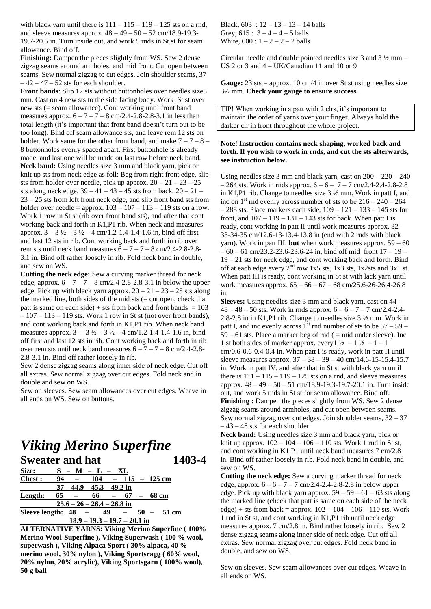with black yarn until there is  $111 - 115 - 119 - 125$  sts on a rnd, and sleeve measures approx. 48 – 49 – 50 – 52 cm/18.9-19.3- 19.7-20.5 in. Turn inside out, and work 5 rnds in St st for seam allowance. Bind off.

**Finishing:** Dampen the pieces slightly from WS. Sew 2 dense zigzag seams around armholes, and mid front. Cut open between seams. Sew normal zigzag to cut edges. Join shoulder seams, 37  $-42 - 47 - 52$  sts for each shoulder.

**Front bands**: Slip 12 sts without buttonholes over needles size3 mm. Cast on 4 new sts to the side facing body. Work St st over new sts (= seam allowance). Cont working until front band measures approx.  $6 - 7 - 7 - 8$  cm/2.4-2.8-2.8-3.1 in less than total length (it's important that front band doesn't turn out to be too long). Bind off seam allowance sts, and leave rem 12 sts on holder. Work same for the other front band, and make  $7 - 7 - 8 -$ 8 buttonholes evenly spaced apart. First buttonhole is already made, and last one will be made on last row before neck band. **Neck band:** Using needles size 3 mm and black yarn, pick or knit up sts from neck edge as foll: Beg from right front edge, slip sts from holder over needle, pick up approx.  $20 - 21 - 23 - 25$ sts along neck edge,  $39 - 41 - 43 - 45$  sts from back,  $20 - 21 -$ 23 – 25 sts from left front neck edge, and slip front band sts from holder over needle = approx.  $103 - 107 - 113 - 119$  sts on a row. Work 1 row in St st (rib over front band sts), and after that cont working back and forth in K1,P1 rib. When neck and measures approx.  $3 - 3 \frac{1}{2} - 3 \frac{1}{2} - 4 \text{ cm}/1.2 - 1.4 - 1.4 - 1.6 \text{ in, bind off first}$ and last 12 sts in rib. Cont working back and forth in rib over rem sts until neck band measures  $6 - 7 - 7 - 8$  cm/2.4-2.8-2.8-3.1 in. Bind off rather loosely in rib. Fold neck band in double, and sew on WS.

**Cutting the neck edge:** Sew a curving marker thread for neck edge, approx.  $6 - 7 - 7 - 8$  cm/2.4-2.8-2.8-3.1 in below the upper edge. Pick up with black yarn approx.  $20 - 21 - 23 - 25$  sts along the marked line, both sides of the mid sts (= cut open, check that patt is same on each side) + sts from back and front bands  $= 103$  $-107 - 113 - 119$  sts. Work 1 row in St st (not over front bands), and cont working back and forth in K1,P1 rib. When neck band measures approx.  $3 - 3\frac{1}{2} - 3\frac{1}{2} - 4$  cm/1.2-1.4-1.4-1.6 in, bind off first and last 12 sts in rib. Cont working back and forth in rib over rem sts until neck band measures  $6 - 7 - 7 - 8$  cm/2.4-2.8-2.8-3.1 in. Bind off rather loosely in rib.

Sew 2 dense zigzag seams along inner side of neck edge. Cut off all extras. Sew normal zigzag over cut edges. Fold neck and in double and sew on WS.

Sew on sleeves. Sew seam allowances over cut edges. Weave in all ends on WS. Sew on buttons.

## *Viking Merino Superfine* **Sweater and hat 1403-4**

| Size:                 |    | – M – L – XL                   |                   |  |        |       |
|-----------------------|----|--------------------------------|-------------------|--|--------|-------|
| Chest:                | 94 | $104 - 115 - 125$ cm           |                   |  |        |       |
|                       |    | $37 - 44.9 - 45.3 - 49.2$ in   |                   |  |        |       |
| Length:               | 65 |                                | $66 - 67 - 68$ cm |  |        |       |
|                       |    | $25.6 - 26 - 26.4 - 26.8$ in   |                   |  |        |       |
| Sleeve length: $48 -$ |    |                                | 49                |  | $50 -$ | 51 cm |
|                       |    | $18.9 - 19.3 - 19.7 - 20.1$ in |                   |  |        |       |

**ALTERNATIVE YARNS: Viking Merino Superfine ( 100% Merino Wool-Superfine ), Viking Superwash ( 100 % wool, superwash ), Viking Alpaca Sport ( 30% alpaca, 40 % merino wool, 30% nylon ), Viking Sportsragg ( 60% wool, 20% nylon, 20% acrylic), Viking Sportsgarn ( 100% wool), 50 g ball**

Black,  $603 : 12 - 13 - 13 - 14$  balls Grey,  $615: 3 - 4 - 4 - 5$  balls White,  $600 : 1 - 2 - 2 - 2$  balls

Circular needle and double pointed needles size 3 and 3 ½ mm – US 2 or 3 and  $4 - UK/Canadian$  11 and 10 or 9

**Gauge:** 23 sts = approx. 10 cm/4 in over St st using needles size 3½ mm. **Check your gauge to ensure success.** 

TIP! When working in a patt with 2 clrs, it's important to maintain the order of yarns over your finger. Always hold the darker clr in front throughout the whole project.

### **Note! Instruction contains neck shaping, worked back and forth. If you wish to work in rnds, and cut the sts afterwards, see instruction below.**

Using needles size 3 mm and black yarn, cast on  $200 - 220 - 240$  $-264$  sts. Work in rnds approx.  $6 - 6 - 7 - 7$  cm/2.4-2.4-2.8-2.8 in K1,P1 rib. Change to needles size 3 ½ mm. Work in patt I, and inc on  $1<sup>st</sup>$  rnd evenly across number of sts to be  $216 - 240 - 264$  $-288$  sts. Place markers each side,  $109 - 121 - 133 - 145$  sts for front, and  $107 - 119 - 131 - 143$  sts for back. When patt I is ready, cont working in patt II until work measures approx. 32- 33-34-35 cm/12.6-13-13.4-13.8 in (end with 2 rnds with black yarn). Work in patt III, **but** when work measures approx. 59 – 60  $-60 - 61$  cm/23.2-23.6-23.6-24 in, bind off mid front  $17 - 19$  – 19 – 21 sts for neck edge, and cont working back and forth. Bind off at each edge every  $2<sup>nd</sup>$  row 1x5 sts, 1x3 sts, 1x2sts and 3x1 st. When patt III is ready, cont working in St st with lack yarn until work measures approx. 65 – 66 – 67 – 68 cm/25.6-26-26.4-26.8 in.

**Sleeves:** Using needles size 3 mm and black yarn, cast on 44 –  $48 - 48 - 50$  sts. Work in rnds approx.  $6 - 6 - 7 - 7$  cm/2.4-2.4-2.8-2.8 in in K1,P1 rib. Change to needles size 3 ½ mm. Work in patt I, and inc evenly across  $1<sup>st</sup>$  rnd number of sts to be  $57 - 59 59 - 61$  sts. Place a marker beg of rnd ( = mid under sleeve). Inc 1 st both sides of marker approx. every  $1\frac{1}{2} - 1\frac{1}{2} - 1 - 1$ cm/0.6-0.6-0.4-0.4 in. When patt I is ready, work in patt II until sleeve measures approx. 37 – 38 – 39 – 40 cm/14.6-15-15.4-15.7 in. Work in patt IV, and after that in St st with black yarn until there is  $111 - 115 - 119 - 125$  sts on a rnd, and sleeve measures approx. 48 – 49 – 50 – 51 cm/18.9-19.3-19.7-20.1 in. Turn inside out, and work 5 rnds in St st for seam allowance. Bind off. **Finishing :** Dampen the pieces slightly from WS. Sew 2 dense zigzag seams around armholes, and cut open between seams. Sew normal zigzag over cut edges. Join shoulder seams, 32 – 37  $-43 - 48$  sts for each shoulder.

**Neck band:** Using needles size 3 mm and black yarn, pick or knit up approx.  $102 - 104 - 106 - 110$  sts. Work 1 rnd in St st, and cont working in K1,P1 until neck band measures 7 cm/2.8 in. Bind off rather loosely in rib. Fold neck band in double, and sew on WS.

**Cutting the neck edge:** Sew a curving marker thread for neck edge, approx.  $6 - 6 - 7 - 7$  cm/2.4-2.4-2.8-2.8 in below upper edge. Pick up with black yarn approx.  $59 - 59 - 61 - 63$  sts along the marked line (check that patt is same on each side of the neck edge) + sts from back = approx.  $102 - 104 - 106 - 110$  sts. Work 1 rnd in St st, and cont working in K1,P1 rib until neck edge measures approx. 7 cm/2.8 in. Bind rather loosely in rib. Sew 2 dense zigzag seams along inner side of neck edge. Cut off all extras. Sew normal zigzag over cut edges. Fold neck band in double, and sew on WS.

Sew on sleeves. Sew seam allowances over cut edges. Weave in all ends on WS.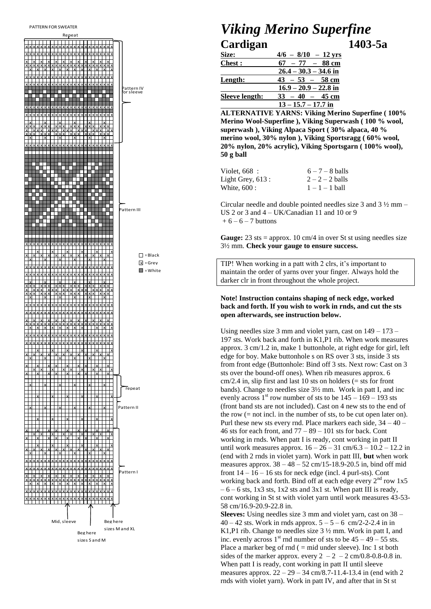

## **Viking Merino Superfine** Cardigan  $1403 - 5a$

| Size:                 | $4/6 - 8/10 - 12$ yrs   |
|-----------------------|-------------------------|
| <b>Chest:</b>         | $67 - 77 - 88$ cm       |
|                       | $26.4 - 30.3 - 34.6$ in |
| Length:               | $43 - 53 - 58$ cm       |
|                       | $16.9 - 20.9 - 22.8$ in |
| <b>Sleeve length:</b> | $33 - 40 - 45$ cm       |
|                       | $13 - 15.7 - 17.7$ in   |

**ALTERNATIVE YARNS: Viking Merino Superfine (100%** Merino Wool-Superfine ), Viking Superwash (100 % wool, superwash), Viking Alpaca Sport (30% alpaca, 40% merino wool, 30% nylon), Viking Sportsragg (60% wool, 20% nylon, 20% acrylic), Viking Sportsgarn (100% wool),  $50$  g ball

| Violet, 668:      | $6 - 7 - 8$ balls |
|-------------------|-------------------|
| Light Grey, 613 : | $2 - 2 - 2$ balls |
| White, 600 :      | $1 - 1 - 1$ ball  |

Circular needle and double pointed needles size 3 and  $3\frac{1}{2}$  mm – US 2 or 3 and  $4 - UK/Canadian$  11 and 10 or 9  $+6 - 6 - 7$  buttons

**Gauge:** 23 sts = approx. 10 cm/4 in over St st using needles size 3½ mm. Check your gauge to ensure success.

TIP! When working in a patt with 2 clrs, it's important to maintain the order of yarns over your finger. Always hold the darker clr in front throughout the whole project.

## Note! Instruction contains shaping of neck edge, worked back and forth. If you wish to work in rnds, and cut the sts open afterwards, see instruction below.

Using needles size 3 mm and violet yarn, cast on  $149 - 173 -$ 197 sts. Work back and forth in K1,P1 rib. When work measures approx. 3 cm/1.2 in, make 1 buttonhole, at right edge for girl, left edge for boy. Make buttonhole s on RS over 3 sts, inside 3 sts from front edge (Buttonhole: Bind off 3 sts. Next row: Cast on 3 sts over the bound-off ones). When rib measures approx. 6  $cm/2.4$  in, slip first and last 10 sts on holders (= sts for front bands). Change to needles size 3<sup>1</sup>/<sub>2</sub> mm. Work in patt I, and inc evenly across 1<sup>st</sup> row number of sts to be  $145 - 169 - 193$  sts (front band sts are not included). Cast on 4 new sts to the end of the row  $(= not incl.$  in the number of sts, to be cut open later on). Purl these new sts every rnd. Place markers each side,  $34 - 40 -$ 46 sts for each front, and  $77 - 89 - 101$  sts for back. Cont working in rnds. When patt I is ready, cont working in patt II until work measures approx.  $16 - 26 - 31$  cm/6.3 -  $10.2 - 12.2$  in (end with 2 rnds in violet yarn). Work in patt III, but when work measures approx.  $38 - 48 - 52$  cm/15-18.9-20.5 in, bind off mid front  $14 - 16 - 16$  sts for neck edge (incl. 4 purl-sts). Cont working back and forth. Bind off at each edge every  $2<sup>nd</sup>$  row 1x5  $-6 - 6$  sts, 1x3 sts, 1x2 sts and 3x1 st. When patt III is ready, cont working in St st with violet yarn until work measures 43-53-58 cm/16.9-20.9-22.8 in.

**Sleeves:** Using needles size 3 mm and violet yarn, cast on  $38$  – 40 – 42 sts. Work in rnds approx.  $5 - 5 - 6$  cm/2-2-2.4 in in K1,P1 rib. Change to needles size  $3\frac{1}{2}$  mm. Work in patt I, and inc. evenly across  $1<sup>st</sup>$  rnd number of sts to be  $45 - 49 - 55$  sts. Place a marker beg of rnd  $($  = mid under sleeve). Inc 1 st both sides of the marker approx. every  $2 - 2 - 2$  cm/0.8-0.8-0.8 in. When patt I is ready, cont working in patt II until sleeve measures approx.  $22 - 29 - 34$  cm/8.7-11.4-13.4 in (end with 2) rnds with violet yarn). Work in patt IV, and after that in St st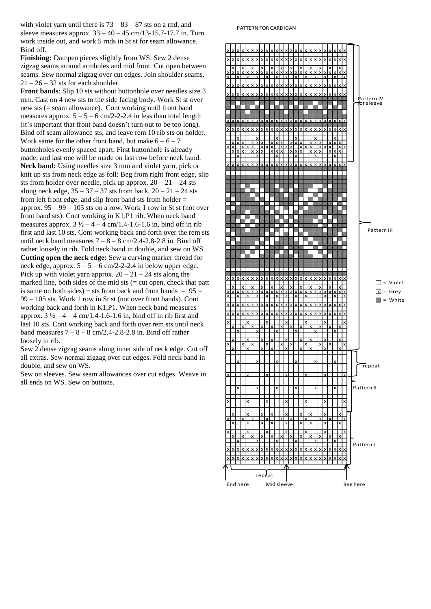with violet yarn until there is  $73 - 83 - 87$  sts on a rnd, and sleeve measures approx.  $33 - 40 - 45$  cm/13-15.7-17.7 in. Turn work inside out, and work 5 rnds in St st for seam allowance. Bind off.

**Finishing:** Dampen pieces slightly from WS. Sew 2 dense zigzag seams around armholes and mid front. Cut open between seams. Sew normal zigzag over cut edges. Join shoulder seams,  $21 - 26 - 32$  sts for each shoulder.

**Front bands**: Slip 10 sts without buttonhole over needles size 3 mm. Cast on 4 new sts to the side facing body. Work St st over new sts (= seam allowance). Cont working until front band measures approx.  $5 - 5 - 6$  cm/2-2-2.4 in less than total length (it's important that front band doesn't turn out to be too long). Bind off seam allowance sts, and leave rem 10 rib sts on holder. Work same for the other front band, but make  $6 - 6 - 7$ buttonholes evenly spaced apart. First buttonhole is already made, and last one will be made on last row before neck band. **Neck band:** Using needles size 3 mm and violet yarn, pick or knit up sts from neck edge as foll: Beg from right front edge, slip sts from holder over needle, pick up approx.  $20 - 21 - 24$  sts along neck edge,  $35 - 37 - 37$  sts from back,  $20 - 21 - 24$  sts from left front edge, and slip front band sts from holder = approx.  $95 - 99 - 105$  sts on a row. Work 1 row in St st (not over front band sts). Cont working in K1,P1 rib. When neck band measures approx.  $3\frac{1}{2} - 4 - 4$  cm/1.4-1.6-1.6 in, bind off in rib first and last 10 sts. Cont working back and forth over the rem sts until neck band measures  $7 - 8 - 8$  cm/2.4-2.8-2.8 in. Bind off rather loosely in rib. Fold neck band in double, and sew on WS. **Cutting open the neck edge:** Sew a curving marker thread for neck edge, approx.  $5 - 5 - 6$  cm/2-2-2.4 in below upper edge. Pick up with violet yarn approx.  $20 - 21 - 24$  sts along the marked line, both sides of the mid sts  $($  = cut open, check that patt is same on both sides) + sts from back and front bands =  $95 -$ 99 – 105 sts. Work 1 row in St st (not over front bands). Cont working back and forth in K1,P1. When neck band measures approx.  $3\frac{1}{2} - 4 - 4$  cm/1.4-1.6-1.6 in, bind off in rib first and last 10 sts. Cont working back and forth over rem sts until neck band measures  $7 - 8 - 8$  cm/2.4-2.8-2.8 in. Bind off rather loosely in rib.

Sew 2 dense zigzag seams along inner side of neck edge. Cut off all extras. Sew normal zigzag over cut edges. Fold neck band in double, and sew on WS.

Sew on sleeves. Sew seam allowances over cut edges. Weave in all ends on WS. Sew on buttons.

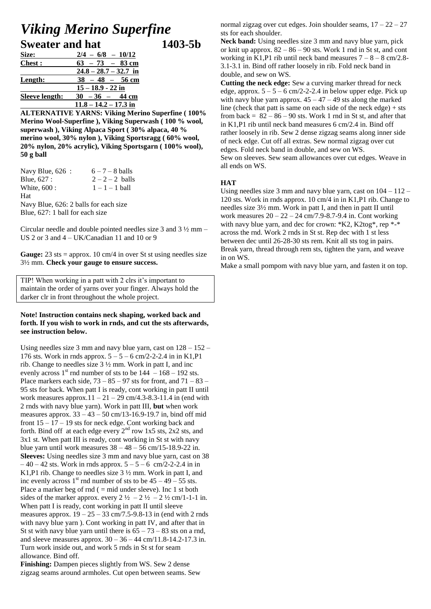## *Viking Merino Superfine* **Sweater and hat 1403-5b**

| <b>Size:</b>          | $2/4 - 6/8 - 10/12$     |
|-----------------------|-------------------------|
| <b>Chest</b> :        | $63 - 73 - 83$ cm       |
|                       | $24.8 - 28.7 - 32.7$ in |
| Length:               | $38 - 48 - 56$ cm       |
|                       | $15 - 18.9 - 22$ in     |
| <b>Sleeve length:</b> | $30 - 36 - 44$ cm       |
|                       | $11.8 - 14.2 - 17.3$ in |

**ALTERNATIVE YARNS: Viking Merino Superfine ( 100% Merino Wool-Superfine ), Viking Superwash ( 100 % wool, superwash ), Viking Alpaca Sport ( 30% alpaca, 40 % merino wool, 30% nylon ), Viking Sportsragg ( 60% wool, 20% nylon, 20% acrylic), Viking Sportsgarn ( 100% wool), 50 g ball**

| Navy Blue, 626:                       | $6 - 7 - 8$ balls |
|---------------------------------------|-------------------|
| Blue, 627 :                           | $2-2-2$ balls     |
| White, 600 :                          | $1 - 1 - 1$ ball  |
| Hat                                   |                   |
| Navy Blue, 626: 2 balls for each size |                   |
| Blue, 627: 1 ball for each size       |                   |

Circular needle and double pointed needles size 3 and 3 ½ mm – US 2 or 3 and 4 – UK/Canadian 11 and 10 or 9

Gauge: 23 sts = approx. 10 cm/4 in over St st using needles size 3½ mm. **Check your gauge to ensure success.** 

TIP! When working in a patt with 2 clrs it's important to maintain the order of yarns over your finger. Always hold the darker clr in front throughout the whole project.

## **Note! Instruction contains neck shaping, worked back and forth. If you wish to work in rnds, and cut the sts afterwards, see instruction below.**

Using needles size 3 mm and navy blue yarn, cast on  $128 - 152 -$ 176 sts. Work in rnds approx.  $5 - 5 - 6$  cm/2-2-2.4 in in K1,P1 rib. Change to needles size 3 ½ mm. Work in patt I, and inc evenly across  $1<sup>st</sup>$  rnd number of sts to be  $144 - 168 - 192$  sts. Place markers each side,  $73 - 85 - 97$  sts for front, and  $71 - 83 -$ 95 sts for back. When patt I is ready, cont working in patt II until work measures approx. $11 - 21 - 29$  cm/4.3-8.3-11.4 in (end with 2 rnds with navy blue yarn). Work in patt III, **but** when work measures approx.  $33 - 43 - 50$  cm/13-16.9-19.7 in, bind off mid front  $15 - 17 - 19$  sts for neck edge. Cont working back and forth. Bind off at each edge every  $2^{nd}$  row 1x5 sts, 2x2 sts, and 3x1 st. When patt III is ready, cont working in St st with navy blue yarn until work measures  $38 - 48 - 56$  cm/15-18.9-22 in. **Sleeves:** Using needles size 3 mm and navy blue yarn, cast on 38  $-40 - 42$  sts. Work in rnds approx.  $5 - 5 - 6$  cm/2-2-2.4 in in K<sub>1</sub>,P<sub>1</sub> rib. Change to needles size  $3\frac{1}{2}$  mm. Work in patt I, and inc evenly across  $1<sup>st</sup>$  rnd number of sts to be  $45 - 49 - 55$  sts. Place a marker beg of rnd  $($  = mid under sleeve). Inc 1 st both sides of the marker approx. every  $2\frac{1}{2} - 2\frac{1}{2} - 2\frac{1}{2}$  cm/1-1-1 in. When patt I is ready, cont working in patt II until sleeve measures approx.  $19 - 25 - 33$  cm/7.5-9.8-13 in (end with 2 rnds with navy blue yarn ). Cont working in patt IV, and after that in St st with navy blue yarn until there is  $65 - 73 - 83$  sts on a rnd, and sleeve measures approx.  $30 - 36 - 44$  cm/11.8-14.2-17.3 in. Turn work inside out, and work 5 rnds in St st for seam allowance. Bind off.

**Finishing:** Dampen pieces slightly from WS. Sew 2 dense zigzag seams around armholes. Cut open between seams. Sew normal zigzag over cut edges. Join shoulder seams,  $17 - 22 - 27$ sts for each shoulder.

Neck band: Using needles size 3 mm and navy blue yarn, pick or knit up approx.  $82 - 86 - 90$  sts. Work 1 rnd in St st, and cont working in K1,P1 rib until neck band measures  $7 - 8 - 8$  cm/2.8-3.1-3.1 in. Bind off rather loosely in rib. Fold neck band in double, and sew on WS.

**Cutting the neck edge:** Sew a curving marker thread for neck edge, approx.  $5 - 5 - 6$  cm/2-2-2.4 in below upper edge. Pick up with navy blue yarn approx.  $45 - 47 - 49$  sts along the marked line (check that patt is same on each side of the neck edge)  $+$  sts from back =  $82 - 86 - 90$  sts. Work 1 rnd in St st, and after that in K1,P1 rib until neck band measures 6 cm/2.4 in. Bind off rather loosely in rib. Sew 2 dense zigzag seams along inner side of neck edge. Cut off all extras. Sew normal zigzag over cut edges. Fold neck band in double, and sew on WS. Sew on sleeves. Sew seam allowances over cut edges. Weave in all ends on WS.

## **HAT**

Using needles size 3 mm and navy blue yarn, cast on 104 – 112 – 120 sts. Work in rnds approx. 10 cm/4 in in K1,P1 rib. Change to needles size 3½ mm. Work in patt I, and then in patt II until work measures 20 – 22 – 24 cm/7.9-8.7-9.4 in. Cont working with navy blue yarn, and dec for crown: \*K2, K2tog\*, rep \*-\* across the rnd. Work 2 rnds in St st. Rep dec with 1 st less between dec until 26-28-30 sts rem. Knit all sts tog in pairs. Break yarn, thread through rem sts, tighten the yarn, and weave in on WS.

Make a small pompom with navy blue yarn, and fasten it on top.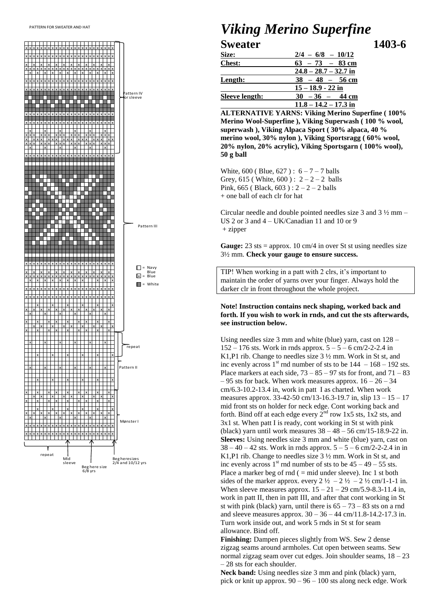

## **Viking Merino Superfine Sweater** 1403-6

| <u>Size:</u>   | $2/4 - 6/8 - 10/12$     |
|----------------|-------------------------|
| <b>Chest:</b>  | $63 - 73 - 83$ cm       |
|                | $24.8 - 28.7 - 32.7$ in |
| <u>Length:</u> | $38 - 48 - 56$ cm       |
|                | $15 - 18.9 - 22$ in     |
| Sleeve length: | $30 - 36 - 44$ cm       |
|                | $11.8 - 14.2 - 17.3$ in |

**ALTERNATIVE YARNS: Viking Merino Superfine (100%** Merino Wool-Superfine ), Viking Superwash (100 % wool, superwash), Viking Alpaca Sport (30% alpaca, 40% merino wool, 30% nylon), Viking Sportsragg (60% wool, 20% nylon, 20% acrylic), Viking Sportsgarn (100% wool),  $50$  g ball

White, 600 (Blue, 627):  $6 - 7 - 7$  balls Grey, 615 (White, 600):  $2-2-2$  balls Pink, 665 (Black, 603):  $2 - 2 - 2$  balls + one ball of each clr for hat

Circular needle and double pointed needles size 3 and  $3\frac{1}{2}$  mm – US 2 or 3 and  $4 - UK/Canadian$  11 and 10 or 9  $+$  zipper

**Gauge:** 23 sts = approx. 10 cm/4 in over St st using needles size  $3\frac{1}{2}$  mm. Check your gauge to ensure success.

TIP! When working in a patt with 2 clrs, it's important to maintain the order of yarns over your finger. Always hold the darker clr in front throughout the whole project.

## Note! Instruction contains neck shaping, worked back and forth. If you wish to work in rnds, and cut the sts afterwards, see instruction below.

Using needles size 3 mm and white (blue) yarn, cast on 128 - $152 - 176$  sts. Work in rnds approx.  $5 - 5 - 6$  cm/2-2-2.4 in K1,P1 rib. Change to needles size  $3\frac{1}{2}$  mm. Work in St st, and inc evenly across  $1<sup>st</sup>$  rnd number of sts to be  $144 - 168 - 192$  sts. Place markers at each side,  $73 - 85 - 97$  sts for front, and  $71 - 83$  $-95$  sts for back. When work measures approx.  $16 - 26 - 34$  $cm/6.3-10.2-13.4$  in, work in patt I as charted. When work measures approx. 33-42-50 cm/13-16.3-19.7 in, slip  $13 - 15 - 17$ mid front sts on holder for neck edge. Cont working back and forth. Bind off at each edge every  $2<sup>nd</sup>$  row 1x5 sts, 1x2 sts, and 3x1 st. When patt I is ready, cont working in St st with pink (black) yarn until work measures  $38 - 48 - 56$  cm/15-18.9-22 in. Sleeves: Using needles size 3 mm and white (blue) yarn, cast on  $38 - 40 - 42$  sts. Work in rnds approx.  $5 - 5 - 6$  cm/2-2-2.4 in in K1,P1 rib. Change to needles size  $3\frac{1}{2}$  mm. Work in St st, and inc evenly across 1<sup>st</sup> rnd number of sts to be  $45 - 49 - 55$  sts. Place a marker beg of rnd  $($  = mid under sleeve). Inc 1 st both sides of the marker approx. every  $2\frac{1}{2} - 2\frac{1}{2} - 2\frac{1}{2}$  cm/1-1-1 in. When sleeve measures approx.  $15 - 21 - 29$  cm/5.9-8.3-11.4 in, work in patt II, then in patt III, and after that cont working in St st with pink (black) yarn, until there is  $65 - 73 - 83$  sts on a rnd and sleeve measures approx.  $30 - 36 - 44$  cm/11.8-14.2-17.3 in. Turn work inside out, and work 5 rnds in St st for seam allowance. Bind off.

**Finishing:** Dampen pieces slightly from WS. Sew 2 dense zigzag seams around armholes. Cut open between seams. Sew normal zigzag seam over cut edges. Join shoulder seams,  $18 - 23$  $-28$  sts for each shoulder.

Neck band: Using needles size 3 mm and pink (black) yarn, pick or knit up approx.  $90 - 96 - 100$  sts along neck edge. Work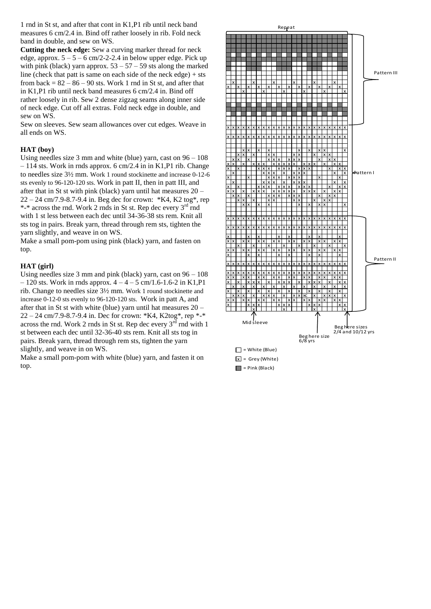1 rnd in St st, and after that cont in K1,P1 rib until neck band measures 6 cm/2.4 in. Bind off rather loosely in rib. Fold neck band in double, and sew on WS.

**Cutting the neck edge:** Sew a curving marker thread for neck edge, approx.  $5 - 5 - 6$  cm/2-2-2.4 in below upper edge. Pick up with pink (black) yarn approx.  $53 - 57 - 59$  sts along the marked line (check that patt is same on each side of the neck edge) + sts from back =  $82 - 86 - 90$  sts. Work 1 rnd in St st, and after that in K1,P1 rib until neck band measures 6 cm/2.4 in. Bind off rather loosely in rib. Sew 2 dense zigzag seams along inner side of neck edge. Cut off all extras. Fold neck edge in double, and sew on WS.

Sew on sleeves. Sew seam allowances over cut edges. Weave in all ends on WS.

### **HAT (boy)**

Using needles size  $3 \text{ mm}$  and white (blue) yarn, cast on  $96 - 108$ – 114 sts. Work in rnds approx. 6 cm/2.4 in in K1,P1 rib. Change to needles size 3½ mm. Work 1 round stockinette and increase 0-12-6 sts evenly to 96-120-120 sts. Work in patt II, then in patt III, and after that in St st with pink (black) yarn until hat measures 20 –  $22 - 24$  cm/7.9-8.7-9.4 in. Beg dec for crown: \*K4, K2 tog\*, rep \*-\* across the rnd. Work 2 rnds in St st. Rep dec every 3<sup>rd</sup> rnd with 1 st less between each dec until 34-36-38 sts rem. Knit all sts tog in pairs. Break yarn, thread through rem sts, tighten the yarn slightly, and weave in on WS.

Make a small pom-pom using pink (black) yarn, and fasten on top.

### **HAT (girl)**

Using needles size 3 mm and pink (black) yarn, cast on  $96 - 108$  $-120$  sts. Work in rnds approx.  $4 - 4 - 5$  cm/1.6-1.6-2 in K1,P1 rib. Change to needles size 3½ mm. Work 1 round stockinette and increase 0-12-0 sts evenly to 96-120-120 sts. Work in patt A, and after that in St st with white (blue) yarn until hat measures 20 – 22 – 24 cm/7.9-8.7-9.4 in. Dec for crown: \*K4, K2tog\*, rep \*-\* across the rnd. Work 2 rnds in St st. Rep dec every  $3^{rd}$  rnd with 1 st between each dec until 32-36-40 sts rem. Knit all sts tog in pairs. Break yarn, thread through rem sts, tighten the yarn slightly, and weave in on WS.

Make a small pom-pom with white (blue) yarn, and fasten it on top.

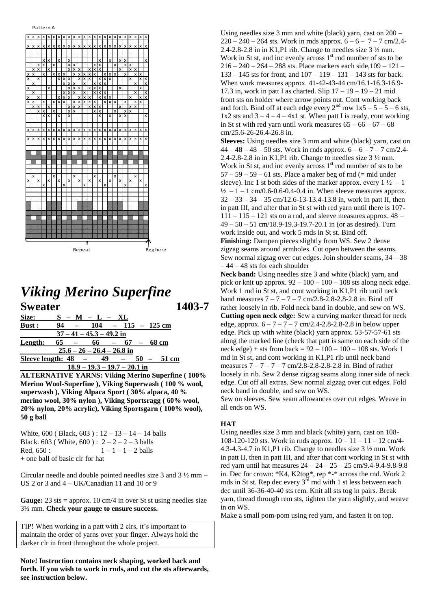

## *Viking Merino Superfine* **Sweater 1403-7**

| Size:   | $S - M - L - XL$                               |
|---------|------------------------------------------------|
| Bust:   | 94<br>$104 - 115 - 125$ cm                     |
|         | $37 - 41 - 45.3 - 49.2$ in                     |
| Length: | $65 -$<br>$66 - 67 - 68$ cm                    |
|         | $25.6 - 26 - 26.4 - 26.8$ in                   |
|         | Sleeve length: $48 -$<br>49<br>51 cm<br>$50 -$ |
|         | $18.9 - 19.3 - 19.7 - 20.1$ in                 |

**ALTERNATIVE YARNS: Viking Merino Superfine ( 100% Merino Wool-Superfine ), Viking Superwash ( 100 % wool, superwash ), Viking Alpaca Sport ( 30% alpaca, 40 % merino wool, 30% nylon ), Viking Sportsragg ( 60% wool, 20% nylon, 20% acrylic), Viking Sportsgarn ( 100% wool), 50 g ball**

| White, $600$ (Black, $603$ ): $12 - 13 - 14 - 14$ balls |                       |
|---------------------------------------------------------|-----------------------|
| Black. 603 (White, 600): $2-2-2-3$ balls                |                       |
| Red. 650 :                                              | $1 - 1 - 1 - 2$ balls |
| + one ball of basic clr for hat                         |                       |

Circular needle and double pointed needles size 3 and 3 ½ mm – US 2 or 3 and 4 – UK/Canadian 11 and 10 or 9

**Gauge:** 23 sts = approx. 10 cm/4 in over St st using needles size 3½ mm. **Check your gauge to ensure success.** 

TIP! When working in a patt with 2 clrs, it's important to maintain the order of yarns over your finger. Always hold the darker clr in front throughout the whole project.

**Note! Instruction contains neck shaping, worked back and forth. If you wish to work in rnds, and cut the sts afterwards, see instruction below.** 

Using needles size 3 mm and white (black) yarn, cast on 200 –  $220 - 240 - 264$  sts. Work in rnds approx.  $6 - 6 - 7 - 7$  cm/2.4-2.4-2.8-2.8 in in K1,P1 rib. Change to needles size 3 ½ mm. Work in St st, and inc evenly across  $1<sup>st</sup>$  rnd number of sts to be  $216 - 240 - 264 - 288$  sts. Place markers each side,  $109 - 121 -$ 133 – 145 sts for front, and 107 – 119 – 131 – 143 sts for back. When work measures approx. 41-42-43-44 cm/16.1-16.3-16.9- 17.3 in, work in patt I as charted. Slip  $17 - 19 - 19 - 21$  mid front sts on holder where arrow points out. Cont working back and forth. Bind off at each edge every  $2<sup>nd</sup>$  row  $1x5 - 5 - 5 - 6$  sts,  $1x2$  sts and  $3 - 4 - 4 - 4x1$  st. When patt I is ready, cont working in St st with red yarn until work measures  $65 - 66 - 67 - 68$ cm/25.6-26-26.4-26.8 in.

**Sleeves:** Using needles size 3 mm and white (black) yarn, cast on  $44 - 48 - 48 - 50$  sts. Work in rnds approx.  $6 - 6 - 7 - 7$  cm/2.4-2.4-2.8-2.8 in in K1,P1 rib. Change to needles size 3 ½ mm. Work in St st, and inc evenly across  $1<sup>st</sup>$  rnd number of sts to be  $57 - 59 - 59 - 61$  sts. Place a maker beg of rnd (= mid under sleeve). Inc 1 st both sides of the marker approx. every  $1\frac{1}{2} - 1$  $\frac{1}{2}$  – 1 – 1 cm/0.6-0.6-0.4-0.4 in. When sleeve measures approx.  $32 - 33 - 34 - 35$  cm/12.6-13-13.4-13.8 in, work in patt II, then in patt III, and after that in St st with red yarn until there is 107-  $111 - 115 - 121$  sts on a rnd, and sleeve measures approx.  $48 -$ 49 – 50 – 51 cm/18.9-19.3-19.7-20.1 in (or as desired). Turn work inside out, and work 5 rnds in St st. Bind off.

**Finishing:** Dampen pieces slightly from WS. Sew 2 dense zigzag seams around armholes. Cut open between the seams. Sew normal zigzag over cut edges. Join shoulder seams, 34 – 38 – 44 – 48 sts for each shoulder

Neck band: Using needles size 3 and white (black) yarn, and pick or knit up approx.  $92 - 100 - 100 - 108$  sts along neck edge. Work 1 rnd in St st, and cont working in K1,P1 rib until neck band measures  $7 - 7 - 7 - 7$  cm/2.8-2.8-2.8-2.8 in. Bind off rather loosely in rib. Fold neck band in double, and sew on WS. **Cutting open neck edge:** Sew a curving marker thread for neck edge, approx.  $6 - 7 - 7 - 7$  cm/2.4-2.8-2.8-2.8 in below upper edge. Pick up with white (black) yarn approx. 53-57-57-61 sts along the marked line (check that patt is same on each side of the neck edge) + sts from back =  $92 - 100 - 100 - 108$  sts. Work 1 rnd in St st, and cont working in K1,P1 rib until neck band measures 7 – 7 – 7 – 7 cm/2.8-2.8-2.8-2.8 in. Bind of rather loosely in rib. Sew 2 dense zigzag seams along inner side of neck edge. Cut off all extras. Sew normal zigzag over cut edges. Fold neck band in double, and sew on WS.

Sew on sleeves. Sew seam allowances over cut edges. Weave in all ends on WS.

## **HAT**

Using needles size 3 mm and black (white) yarn, cast on 108- 108-120-120 sts. Work in rnds approx.  $10 - 11 - 11 - 12$  cm/4-4.3-4.3-4.7 in K1,P1 rib. Change to needles size 3 ½ mm. Work in patt II, then in patt III, and after that cont working in St st with red yarn until hat measures 24 – 24 – 25 – 25 cm/9.4-9.4-9.8-9.8 in. Dec for crown: \*K4, K2tog\*, rep \*-\* across the rnd. Work 2 rnds in St st. Rep dec every 3rd rnd with 1 st less between each dec until 36-36-40-40 sts rem. Knit all sts tog in pairs. Break yarn, thread through rem sts, tighten the yarn slightly, and weave in on WS.

Make a small pom-pom using red yarn, and fasten it on top.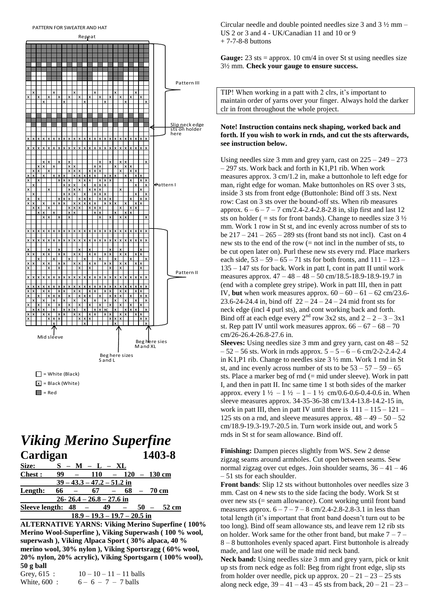#### PATTERN FOR SWEATER AND HAT



## **Viking Merino Superfine** Cardigan 1403-8

| Size:                 |    | – M – L – XL                   |    |              |                      |
|-----------------------|----|--------------------------------|----|--------------|----------------------|
| <b>Chest:</b>         | 99 | $110 - 120 - 130$ cm           |    |              |                      |
|                       |    | $39 - 43.3 - 47.2 - 51.2$ in   |    |              |                      |
| Length:               | 66 | -67                            |    | $68 - 70$ cm |                      |
|                       |    | $26 - 26.4 - 26.8 - 27.6$ in   |    |              |                      |
| Sleeve length: $48 -$ |    |                                | 49 |              | $50 - 52 \text{ cm}$ |
|                       |    | $18.9 - 19.3 - 19.7 - 20.5$ in |    |              |                      |

**ALTERNATIVE YARNS: Viking Merino Superfine (100%** Merino Wool-Superfine ), Viking Superwash (100 % wool, superwash), Viking Alpaca Sport (30% alpaca, 40% merino wool, 30% nylon), Viking Sportsragg (60% wool, 20% nylon, 20% acrylic), Viking Sportsgarn (100% wool),  $50$  g ball

| Grey, $615$ : | $10 - 10 - 11 - 11$ ball |
|---------------|--------------------------|
| White, 600:   | $6 - 6 - 7 - 7$ balls    |

Circular needle and double pointed needles size 3 and  $3\frac{1}{2}$  mm – US 2 or 3 and 4 - UK/Canadian 11 and 10 or 9  $+7-7-8-8$  buttons

**Gauge:** 23 sts = approx. 10 cm/4 in over St st using needles size  $3\frac{1}{2}$  mm. Check your gauge to ensure success.

TIP! When working in a patt with 2 clrs, it's important to maintain order of yarns over your finger. Always hold the darker clr in front throughout the whole project.

### Note! Instruction contains neck shaping, worked back and forth. If you wish to work in rnds, and cut the sts afterwards, see instruction below.

Using needles size 3 mm and grey yarn, cast on  $225 - 249 - 273$  $-297$  sts. Work back and forth in K1,P1 rib. When work measures approx.  $3 \text{ cm}/1.2$  in, make a buttonhole to left edge for man, right edge for woman. Make buttonholes on RS over 3 sts, inside 3 sts from front edge (Buttonhole: Bind off 3 sts. Next row: Cast on 3 sts over the bound-off sts. When rib measures approx.  $6 - 6 - 7 - 7$  cm/2.4-2.4-2.8-2.8 in, slip first and last 12 sts on holder ( = sts for front bands). Change to needles size  $3\frac{1}{2}$ mm. Work 1 row in St st, and inc evenly across number of sts to be  $217 - 241 - 265 - 289$  sts (front band sts not incl). Cast on 4 new sts to the end of the row  $(=$  not incl in the number of sts, to be cut open later on). Purl these new sts every rnd. Place markers each side,  $53 - 59 - 65 - 71$  sts for both fronts, and  $111 - 123$  $135 - 147$  sts for back. Work in patt I, cont in patt II until work measures approx. 47 - 48 - 48 - 50 cm/18.5-18.9-18.9-19.7 in (end with a complete grey stripe). Work in patt III, then in patt IV, but when work measures approx.  $60 - 60 - 61 - 62$  cm/23.6-23.6-24-24.4 in, bind off  $22 - 24 - 24 - 24$  mid front sts for neck edge (incl 4 purl sts), and cont working back and forth. Bind off at each edge every  $2^{nd}$  row 3x2 sts, and  $2 - 2 - 3 - 3x1$ st. Rep patt IV until work measures approx.  $66 - 67 - 68 - 70$ cm/26-26.4-26.8-27.6 in.

**Sleeves:** Using needles size 3 mm and grey yarn, cast on  $48 - 52$  $-52 - 56$  sts. Work in rnds approx.  $5 - 5 - 6 - 6$  cm/2-2-2.4-2.4 in K1,P1 rib. Change to needles size  $3\frac{1}{2}$  mm. Work 1 rnd in St st, and inc evenly across number of sts to be  $53 - 57 - 59 - 65$ sts. Place a marker beg of  $rnd (= mid$  under sleeve). Work in patt I, and then in patt II. Inc same time 1 st both sides of the marker approx. every  $1\frac{1}{2} - 1\frac{1}{2} - 1 - 1\frac{1}{2}$  cm/0.6-0.6-0.4-0.6 in. When sleeve measures approx. 34-35-36-38 cm/13.4-13.8-14.2-15 in, work in patt III, then in patt IV until there is  $111 - 115 - 121 -$ 125 sts on a rnd, and sleeve measures approx.  $48 - 49 - 50 - 52$ cm/18.9-19.3-19.7-20.5 in. Turn work inside out, and work 5 rnds in St st for seam allowance. Bind off.

Finishing: Dampen pieces slightly from WS. Sew 2 dense zigzag seams around armholes. Cut open between seams. Sew normal zigzag over cut edges. Join shoulder seams,  $36 - 41 - 46$  $-51$  sts for each shoulder.

**Front bands:** Slip 12 sts without button holes over needles size 3 mm. Cast on 4 new sts to the side facing the body. Work St st over new sts  $(=$  seam allowance). Cont working until front band measures approx.  $6 - 7 - 7 - 8$  cm/2.4-2.8-2.8-3.1 in less than total length (it's important that front band doesn't turn out to be too long). Bind off seam allowance sts, and leave rem 12 rib sts on holder. Work same for the other front band, but make  $7 - 7 -$ 8 – 8 buttonholes evenly spaced apart. First buttonhole is already made, and last one will be made mid neck band.

Neck band: Using needles size 3 mm and grey yarn, pick or knit up sts from neck edge as foll: Beg from right front edge, slip sts from holder over needle, pick up approx.  $20 - 21 - 23 - 25$  sts along neck edge,  $39 - 41 - 43 - 45$  sts from back,  $20 - 21 - 23$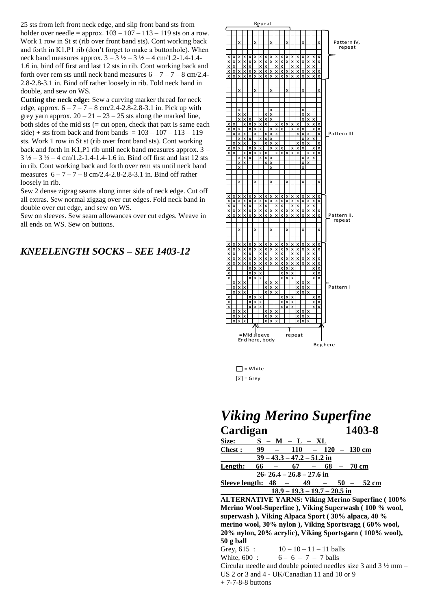25 sts from left front neck edge, and slip front band sts from holder over needle = approx.  $103 - 107 - 113 - 119$  sts on a row. Work 1 row in St st (rib over front band sts). Cont working back and forth in K1,P1 rib (don't forget to make a buttonhole). When neck band measures approx.  $3 - 3\frac{1}{2} - 3\frac{1}{2} - 4$  cm/1.2-1.4-1.4-1.6 in, bind off first and last 12 sts in rib. Cont working back and forth over rem sts until neck band measures  $6 - 7 - 7 - 8$  cm/2.4-2.8-2.8-3.1 in. Bind off rather loosely in rib. Fold neck band in double, and sew on WS.

**Cutting the neck edge:** Sew a curving marker thread for neck edge, approx.  $6 - 7 - 7 - 8$  cm/2.4-2.8-2.8-3.1 in. Pick up with grey yarn approx.  $20 - 21 - 23 - 25$  sts along the marked line, both sides of the mid sts (= cut open, check that patt is same each side) + sts from back and front bands =  $103 - 107 - 113 - 119$ sts. Work 1 row in St st (rib over front band sts). Cont working back and forth in K1,P1 rib until neck band measures approx. 3 –  $3\frac{1}{2} - 3\frac{1}{2} - 4$  cm/1.2-1.4-1.4-1.6 in. Bind off first and last 12 sts in rib. Cont working back and forth over rem sts until neck band measures  $6 - 7 - 7 - 8$  cm/2.4-2.8-2.8-3.1 in. Bind off rather loosely in rib.

Sew 2 dense zigzag seams along inner side of neck edge. Cut off all extras. Sew normal zigzag over cut edges. Fold neck band in double over cut edge, and sew on WS.

Sew on sleeves. Sew seam allowances over cut edges. Weave in all ends on WS. Sew on buttons.

## *KNEELENGTH SOCKS – SEE 1403-12*



 $\Box$  = White  $\overline{x}$  = Grey

|               | <b>Viking Merino Superfine</b> |                      |
|---------------|--------------------------------|----------------------|
| Cardigan      |                                | 1403-8               |
| Size:         | $S - M - L - XL$               |                      |
| <b>Chest:</b> | 99<br>110                      | $-120 - 130$ cm      |
|               | $39 - 43.3 - 47.2 - 51.2$ in   |                      |
| Length:       | 66<br>- 67                     | $68 - 70$ cm         |
|               | 26-26.4 - 26.8 - 27.6 in       |                      |
|               | Sleeve length: $48 - 49$       | $50 - 52 \text{ cm}$ |
|               | $18.9 - 19.3 - 19.7 - 20.5$ in |                      |

**ALTERNATIVE YARNS: Viking Merino Superfine ( 100% Merino Wool-Superfine ), Viking Superwash ( 100 % wool, superwash ), Viking Alpaca Sport ( 30% alpaca, 40 % merino wool, 30% nylon ), Viking Sportsragg ( 60% wool, 20% nylon, 20% acrylic), Viking Sportsgarn ( 100% wool), 50 g ball**

Grey,  $615$ :  $10 - 10 - 11 - 11$  balls White,  $600$ :  $6 - 6 - 7 - 7$  balls Circular needle and double pointed needles size 3 and 3 ½ mm – US 2 or 3 and 4 - UK/Canadian 11 and 10 or 9 + 7-7-8-8 buttons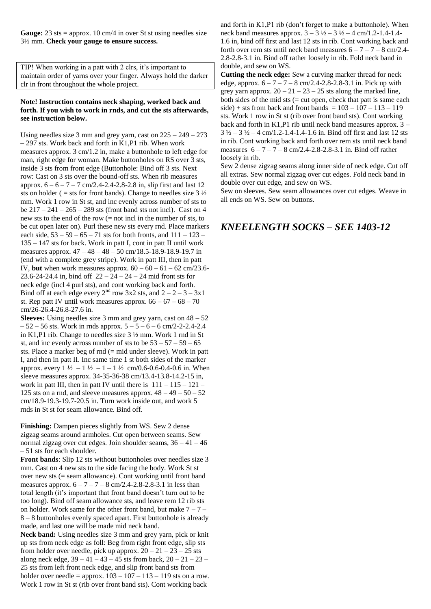Gauge: 23 sts = approx. 10 cm/4 in over St st using needles size 3½ mm. **Check your gauge to ensure success.** 

TIP! When working in a patt with 2 clrs, it's important to maintain order of yarns over your finger. Always hold the darker clr in front throughout the whole project.

## **Note! Instruction contains neck shaping, worked back and forth. If you wish to work in rnds, and cut the sts afterwards, see instruction below.**

Using needles size 3 mm and grey yarn, cast on  $225 - 249 - 273$ – 297 sts. Work back and forth in K1,P1 rib. When work measures approx. 3 cm/1.2 in, make a buttonhole to left edge for man, right edge for woman. Make buttonholes on RS over 3 sts, inside 3 sts from front edge (Buttonhole: Bind off 3 sts. Next row: Cast on 3 sts over the bound-off sts. When rib measures approx.  $6 - 6 - 7 - 7$  cm/2.4-2.4-2.8-2.8 in, slip first and last 12 sts on holder ( = sts for front bands). Change to needles size  $3\frac{1}{2}$ mm. Work 1 row in St st, and inc evenly across number of sts to be  $217 - 241 - 265 - 289$  sts (front band sts not incl). Cast on 4 new sts to the end of the row (= not incl in the number of sts, to be cut open later on). Purl these new sts every rnd. Place markers each side,  $53 - 59 - 65 - 71$  sts for both fronts, and  $111 - 123 -$ 135 – 147 sts for back. Work in patt I, cont in patt II until work measures approx. 47 – 48 – 48 – 50 cm/18.5-18.9-18.9-19.7 in (end with a complete grey stripe). Work in patt III, then in patt IV, **but** when work measures approx.  $60 - 60 - 61 - 62$  cm/23.6-23.6-24-24.4 in, bind off  $22 - 24 - 24 - 24$  mid front sts for neck edge (incl 4 purl sts), and cont working back and forth. Bind off at each edge every  $2^{nd}$  row 3x2 sts, and  $2 - 2 - 3 - 3x1$ st. Rep patt IV until work measures approx.  $66 - 67 - 68 - 70$ cm/26-26.4-26.8-27.6 in.

**Sleeves:** Using needles size 3 mm and grey yarn, cast on 48 – 52  $-52 - 56$  sts. Work in rnds approx.  $5 - 5 - 6 - 6$  cm/2-2-2.4-2.4 in K1,P1 rib. Change to needles size 3 ½ mm. Work 1 rnd in St st, and inc evenly across number of sts to be  $53 - 57 - 59 - 65$ sts. Place a marker beg of rnd (= mid under sleeve). Work in patt I, and then in patt II. Inc same time 1 st both sides of the marker approx. every  $1\frac{1}{2} - 1\frac{1}{2} - 1 - 1\frac{1}{2}$  cm/0.6-0.6-0.4-0.6 in. When sleeve measures approx. 34-35-36-38 cm/13.4-13.8-14.2-15 in, work in patt III, then in patt IV until there is  $111 - 115 - 121 -$ 125 sts on a rnd, and sleeve measures approx.  $48 - 49 - 50 - 52$ cm/18.9-19.3-19.7-20.5 in. Turn work inside out, and work 5 rnds in St st for seam allowance. Bind off.

**Finishing:** Dampen pieces slightly from WS. Sew 2 dense zigzag seams around armholes. Cut open between seams. Sew normal zigzag over cut edges. Join shoulder seams,  $36 - 41 - 46$ – 51 sts for each shoulder.

**Front bands**: Slip 12 sts without buttonholes over needles size 3 mm. Cast on 4 new sts to the side facing the body. Work St st over new sts (= seam allowance). Cont working until front band measures approx.  $6 - 7 - 7 - 8$  cm/2.4-2.8-2.8-3.1 in less than total length (it's important that front band doesn't turn out to be too long). Bind off seam allowance sts, and leave rem 12 rib sts on holder. Work same for the other front band, but make  $7 - 7 -$ 8 – 8 buttonholes evenly spaced apart. First buttonhole is already made, and last one will be made mid neck band.

**Neck band:** Using needles size 3 mm and grey yarn, pick or knit up sts from neck edge as foll: Beg from right front edge, slip sts from holder over needle, pick up approx.  $20 - 21 - 23 - 25$  sts along neck edge,  $39 - 41 - 43 - 45$  sts from back,  $20 - 21 - 23 -$ 25 sts from left front neck edge, and slip front band sts from holder over needle = approx.  $103 - 107 - 113 - 119$  sts on a row. Work 1 row in St st (rib over front band sts). Cont working back

and forth in K1,P1 rib (don't forget to make a buttonhole). When neck band measures approx.  $3 - 3\frac{1}{2} - 3\frac{1}{2} - 4$  cm/1.2-1.4-1.4-1.6 in, bind off first and last 12 sts in rib. Cont working back and forth over rem sts until neck band measures  $6 - 7 - 7 - 8$  cm/2.4-2.8-2.8-3.1 in. Bind off rather loosely in rib. Fold neck band in double, and sew on WS.

**Cutting the neck edge:** Sew a curving marker thread for neck edge, approx.  $6 - 7 - 7 - 8$  cm/2.4-2.8-2.8-3.1 in. Pick up with grey yarn approx.  $20 - 21 - 23 - 25$  sts along the marked line, both sides of the mid sts  $(=$  cut open, check that patt is same each side) + sts from back and front bands =  $103 - 107 - 113 - 119$ sts. Work 1 row in St st (rib over front band sts). Cont working back and forth in K1,P1 rib until neck band measures approx. 3 –  $3\frac{1}{2} - 3\frac{1}{2} - 4$  cm/1.2-1.4-1.4-1.6 in. Bind off first and last 12 sts in rib. Cont working back and forth over rem sts until neck band measures  $6 - 7 - 7 - 8$  cm/2.4-2.8-2.8-3.1 in. Bind off rather loosely in rib.

Sew 2 dense zigzag seams along inner side of neck edge. Cut off all extras. Sew normal zigzag over cut edges. Fold neck band in double over cut edge, and sew on WS.

Sew on sleeves. Sew seam allowances over cut edges. Weave in all ends on WS. Sew on buttons.

## *KNEELENGTH SOCKS – SEE 1403-12*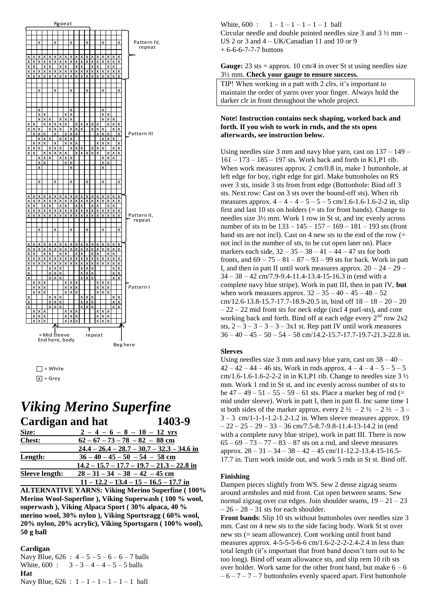



## **Viking Merino Superfine Cardigan and hat** 1403-9

| Size:                 | $2 - 4 - 6 - 8 - 10 - 12$ vrs                |
|-----------------------|----------------------------------------------|
| <b>Chest:</b>         | $62 - 67 - 73 - 78 - 82 - 88$ cm             |
|                       | $24.4 - 26.4 - 28.7 - 30.7 - 32.3 - 34.6$ in |
| Length:               | $36 - 40 - 45 - 50 - 54 - 58$ cm             |
|                       | $14.2 - 15.7 - 17.7 - 19.7 - 21.3 - 22.8$ in |
| <b>Sleeve length:</b> | $28 - 31 - 34 - 38 - 42 - 45$ cm             |
|                       | $11 - 12.2 - 13.4 - 15 - 16.5 - 17.7$ in     |

**ALTERNATIVE YARNS: Viking Merino Superfine (100%** Merino Wool-Superfine), Viking Superwash (100 % wool, superwash), Viking Alpaca Sport (30% alpaca, 40 % merino wool, 30% nylon), Viking Sportsragg (60% wool, 20% nylon, 20% acrylic), Viking Sportsgarn (100% wool),  $50$  g ball

### Cardigan

Navy Blue,  $626 : 4 - 5 - 5 - 6 - 6 - 7$  balls White,  $600 : 3 - 3 - 4 - 4 - 5 - 5$  balls Hat Navy Blue,  $626 : 1 - 1 - 1 - 1 - 1 - 1$  ball

White, 600 :  $1-1-1-1-1-1$  ball Circular needle and double pointed needles size 3 and  $3\frac{1}{2}$  mm – US 2 or 3 and  $4 - UK/Canadian$  11 and 10 or 9  $+6-6-6-7-7-7$  buttons

## **Gauge:** 23 sts = approx. 10 cm/4 in over St st using needles size 3½ mm. Check your gauge to ensure success.

TIP! When working in a patt with 2 clrs, it's important to maintain the order of yarns over your finger. Always hold the darker clr in front throughout the whole project.

## Note! Instruction contains neck shaping, worked back and forth. If you wish to work in rnds, and the sts open afterwards, see instruction below.

Using needles size 3 mm and navy blue yarn, cast on  $137 - 149$  –  $161 - 173 - 185 - 197$  sts. Work back and forth in K1,P1 rib. When work measures approx. 2 cm/0.8 in, make 1 buttonhole, at left edge for boy, right edge for girl. Make buttonholes on RS over 3 sts, inside 3 sts from front edge (Buttonhole: Bind off 3 sts. Next row: Cast on 3 sts over the bound-off sts). When rib measures approx.  $4 - 4 - 4 - 5 - 5 - 5$  cm/1.6-1.6-1.6-2-2 in, slip first and last 10 sts on holders  $(=$  sts for front bands). Change to needles size 3½ mm. Work 1 row in St st, and inc evenly across number of sts to be  $133 - 145 - 157 - 169 - 181 - 193$  sts (front band sts are not incl. Cast on 4 new sts to the end of the row  $(=$ not incl in the number of sts, to be cut open later on). Place markers each side,  $32 - 35 - 38 - 41 - 44 - 47$  sts for both fronts, and  $69 - 75 - 81 - 87 - 93 - 99$  sts for back. Work in patt I, and then in patt II until work measures approx.  $20 - 24 - 29$  –  $34 - 38 - 42$  cm/7.9-9.4-11.4-13.4-15-16.3 in (end with a complete navy blue stripe). Work in patt III, then in patt IV, but when work measures approx.  $32 - 35 - 40 - 45 - 48 - 52$ cm/12.6-13.8-15.7-17.7-18.9-20.5 in, bind off  $18 - 18 - 20 - 20$  $-22 - 22$  mid front sts for neck edge (incl 4 purl-sts), and cont working back and forth. Bind off at each edge every 2<sup>nd</sup> row 2x2 sts,  $2-3-3-3-3-3x1$  st. Rep patt IV until work measures  $36 - 40 - 45 - 50 - 54 - 58$  cm/14.2-15.7-17.7-19.7-21.3-22.8 in.

## **Sleeves**

Using needles size 3 mm and navy blue yarn, cast on  $38 - 40 42 - 42 - 44 - 46$  sts. Work in rnds approx.  $4 - 4 - 4 - 5 - 5 - 5$ cm/1.6-1.6-1.6-2-2-2 in in K1,P1 rib. Change to needles size  $3\frac{1}{2}$ mm. Work 1 rnd in St st, and inc evenly across number of sts to be  $47 - 49 - 51 - 55 - 59 - 61$  sts. Place a marker beg of rnd (= mid under sleeve). Work in patt I, then in patt II. Inc same time 1 st both sides of the marker approx. every  $2 \frac{1}{2} - 2 \frac{1}{2} - 2 \frac{1}{2} - 3 3-3$  cm/1-1-1-1.2-1.2-1.2 in. When sleeve measures approx. 19  $-22 - 25 - 29 - 33 - 36$  cm/7.5-8.7-9.8-11.4-13-14.2 in (end with a complete navy blue stripe), work in patt III. There is now  $65 - 69 - 73 - 77 - 83 - 87$  sts on a rnd, and sleeve measures approx.  $28 - 31 - 34 - 38 - 42 - 45$  cm/11-12.2-13.4-15-16.5-17.7 in. Turn work inside out, and work 5 rnds in St st. Bind off.

### Finishing

Dampen pieces slightly from WS. Sew 2 dense zigzag seams around armholes and mid front. Cut open between seams. Sew normal zigzag over cut edges. Join shoulder seams,  $19 - 21 - 23$  $-26 - 28 - 31$  sts for each shoulder.

**Front bands:** Slip 10 sts without button holes over needles size 3 mm. Cast on 4 new sts to the side facing body. Work St st over new sts (= seam allowance). Cont working until front band measures approx. 4-5-5-5-6-6 cm/1.6-2-2-2-2.4-2.4 in less than total length (it's important that front band doesn't turn out to be too long). Bind off seam allowance sts, and slip rem 10 rib sts over holder. Work same for the other front band, but make  $6 - 6$  $-6 - 7 - 7 - 7$  buttonholes evenly spaced apart. First buttonhole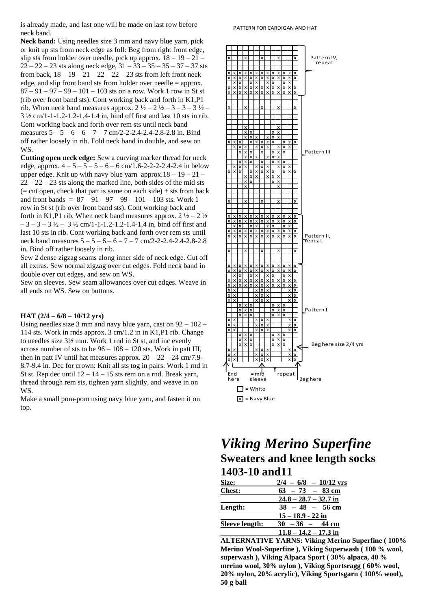is already made, and last one will be made on last row before neck band.

**Neck band:** Using needles size 3 mm and navy blue yarn, pick or knit up sts from neck edge as foll: Beg from right front edge, slip sts from holder over needle, pick up approx.  $18 - 19 - 21 22 - 22 - 23$  sts along neck edge,  $31 - 33 - 35 - 35 - 37 - 37$  sts from back,  $18 - 19 - 21 - 22 - 22 - 23$  sts from left front neck edge, and slip front band sts from holder over needle = approx.  $87 - 91 - 97 - 99 - 101 - 103$  sts on a row. Work 1 row in St st (rib over front band sts). Cont working back and forth in K1,P1 rib. When neck band measures approx.  $2 \frac{1}{2} - 2 \frac{1}{2} - 3 - 3 \frac{1}{2} -$ 3 ½ cm/1-1-1.2-1.2-1.4-1.4 in, bind off first and last 10 sts in rib. Cont working back and forth over rem sts until neck band measures  $5 - 5 - 6 - 6 - 7 - 7$  cm/2-2-2.4-2.4-2.8-2.8 in. Bind off rather loosely in rib. Fold neck band in double, and sew on WS.

**Cutting open neck edge:** Sew a curving marker thread for neck edge, approx.  $4 - 5 - 5 - 5 - 6 - 6$  cm/1.6-2-2-2-2.4-2.4 in below upper edge. Knit up with navy blue yarn approx. $18 - 19 - 21 22 - 22 - 23$  sts along the marked line, both sides of the mid sts  $($  = cut open, check that patt is same on each side) + sts from back and front bands =  $87 - 91 - 97 - 99 - 101 - 103$  sts. Work 1 row in St st (rib over front band sts). Cont working back and forth in K1,P1 rib. When neck band measures approx.  $2\frac{1}{2} - 2\frac{1}{2}$  $-3 - 3 - 3$  ½ – 3 ½ cm/1-1-1.2-1.2-1.4-1.4 in, bind off first and last 10 sts in rib. Cont working back and forth over rem sts until neck band measures 5 – 5 – 6 – 6 – 7 – 7 cm/2-2-2.4-2.4-2.8-2.8 in. Bind off rather loosely in rib.

Sew 2 dense zigzag seams along inner side of neck edge. Cut off all extras. Sew normal zigzag over cut edges. Fold neck band in double over cut edges, and sew on WS.

Sew on sleeves. Sew seam allowances over cut edges. Weave in all ends on WS. Sew on buttons.

### **HAT (2/4 – 6/8 – 10/12 yrs)**

Using needles size 3 mm and navy blue yarn, cast on  $92 - 102 -$ 114 sts. Work in rnds approx. 3 cm/1.2 in in K1,P1 rib. Change to needles size 3½ mm. Work 1 rnd in St st, and inc evenly across number of sts to be  $96 - 108 - 120$  sts. Work in patt III, then in patt IV until hat measures approx.  $20 - 22 - 24$  cm/7.9-8.7-9.4 in. Dec for crown: Knit all sts tog in pairs. Work 1 rnd in St st. Rep dec until  $12 - 14 - 15$  sts rem on a rnd. Break yarn, thread through rem sts, tighten yarn slightly, and weave in on WS.

Make a small pom-pom using navy blue yarn, and fasten it on top.



## *Viking Merino Superfine* **Sweaters and knee length socks 1403-10 and11**

| Size:          | $2/4 - 6/8 - 10/12$ yrs |
|----------------|-------------------------|
| <b>Chest:</b>  | $63 - 73 - 83$ cm       |
|                | $24.8 - 28.7 - 32.7$ in |
| Length:        | $38 - 48 - 56$ cm       |
|                | $15 - 18.9 - 22$ in     |
| Sleeve length: | $30 - 36 - 44$ cm       |
|                | $11.8 - 14.2 - 17.3$ in |

**ALTERNATIVE YARNS: Viking Merino Superfine ( 100% Merino Wool-Superfine ), Viking Superwash ( 100 % wool, superwash ), Viking Alpaca Sport ( 30% alpaca, 40 % merino wool, 30% nylon ), Viking Sportsragg ( 60% wool, 20% nylon, 20% acrylic), Viking Sportsgarn ( 100% wool), 50 g ball**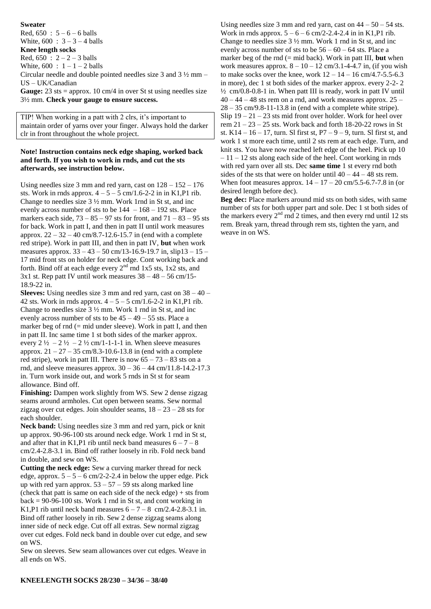### **Sweater**

Red,  $650 : 5 - 6 - 6$  balls

White,  $600 : 3 - 3 - 4$  balls

**Knee length socks**

Red,  $650 : 2 - 2 - 3$  balls White,  $600 : 1 - 1 - 2$  balls

Circular needle and double pointed needles size 3 and 3 ½ mm – US – UK/Canadian

Gauge: 23 sts = approx. 10 cm/4 in over St st using needles size 3½ mm. **Check your gauge to ensure success.** 

TIP! When working in a patt with 2 clrs, it's important to maintain order of yarns over your finger. Always hold the darker clr in front throughout the whole project.

## **Note! Instruction contains neck edge shaping, worked back and forth. If you wish to work in rnds, and cut the sts afterwards, see instruction below.**

Using needles size 3 mm and red yarn, cast on  $128 - 152 - 176$ sts. Work in rnds approx.  $4 - 5 - 5$  cm/1.6-2-2 in in K1,P1 rib. Change to needles size 3 ½ mm. Work 1rnd in St st, and inc evenly across number of sts to be  $144 - 168 - 192$  sts. Place markers each side,  $73 - 85 - 97$  sts for front, and  $71 - 83 - 95$  sts for back. Work in patt I, and then in patt II until work measures approx.  $22 - 32 - 40$  cm/8.7-12.6-15.7 in (end with a complete red stripe). Work in patt III, and then in patt IV, **but** when work measures approx. 33 – 43 – 50 cm/13-16.9-19.7 in, slip13 – 15 – 17 mid front sts on holder for neck edge. Cont working back and forth. Bind off at each edge every  $2<sup>nd</sup>$  rnd 1x5 sts, 1x2 sts, and  $3x1$  st. Rep patt IV until work measures  $38 - 48 - 56$  cm/15-18.9-22 in.

**Sleeves:** Using needles size 3 mm and red yarn, cast on 38 – 40 – 42 sts. Work in rnds approx.  $4 - 5 - 5$  cm/1.6-2-2 in K1,P1 rib. Change to needles size 3 ½ mm. Work 1 rnd in St st, and inc evenly across number of sts to be  $45 - 49 - 55$  sts. Place a marker beg of rnd  $(= mid$  under sleeve). Work in patt I, and then in patt II. Inc same time 1 st both sides of the marker approx. every  $2\frac{1}{2}$  –  $2\frac{1}{2}$  –  $2\frac{1}{2}$  cm/1-1-1-1 in. When sleeve measures approx.  $21 - 27 - 35$  cm/8.3-10.6-13.8 in (end with a complete red stripe), work in patt III. There is now  $65 - 73 - 83$  sts on a rnd, and sleeve measures approx. 30 – 36 – 44 cm/11.8-14.2-17.3 in. Turn work inside out, and work 5 rnds in St st for seam allowance. Bind off.

**Finishing:** Dampen work slightly from WS. Sew 2 dense zigzag seams around armholes. Cut open between seams. Sew normal zigzag over cut edges. Join shoulder seams,  $18 - 23 - 28$  sts for each shoulder.

**Neck band:** Using needles size 3 mm and red yarn, pick or knit up approx. 90-96-100 sts around neck edge. Work 1 rnd in St st, and after that in K1,P1 rib until neck band measures  $6 - 7 - 8$ cm/2.4-2.8-3.1 in. Bind off rather loosely in rib. Fold neck band in double, and sew on WS.

**Cutting the neck edge:** Sew a curving marker thread for neck edge, approx.  $5 - 5 - 6$  cm/2-2-2.4 in below the upper edge. Pick up with red yarn approx.  $53 - 57 - 59$  sts along marked line (check that patt is same on each side of the neck edge) + sts from  $back = 90-96-100$  sts. Work 1 rnd in St st, and cont working in K1,P1 rib until neck band measures  $6 - 7 - 8$  cm/2.4-2.8-3.1 in. Bind off rather loosely in rib. Sew 2 dense zigzag seams along inner side of neck edge. Cut off all extras. Sew normal zigzag over cut edges. Fold neck band in double over cut edge, and sew on WS.

Sew on sleeves. Sew seam allowances over cut edges. Weave in all ends on WS.

Using needles size 3 mm and red yarn, cast on  $44 - 50 - 54$  sts. Work in rnds approx.  $5 - 6 - 6$  cm/2-2.4-2.4 in in K1,P1 rib. Change to needles size 3 ½ mm. Work 1 rnd in St st, and inc evenly across number of sts to be  $56 - 60 - 64$  sts. Place a marker beg of the rnd (= mid back). Work in patt III, **but** when work measures approx.  $8 - 10 - 12$  cm/3.1-4-4.7 in, (if you wish to make socks over the knee, work  $12 - 14 - 16$  cm/4.7-5.5-6.3 in more), dec 1 st both sides of the marker approx. every 2-2- 2 ½ cm/0.8-0.8-1 in. When patt III is ready, work in patt IV until  $40 - 44 - 48$  sts rem on a rnd, and work measures approx.  $25 28 - 35$  cm/9.8-11-13.8 in (end with a complete white stripe). Slip 19 – 21 – 23 sts mid front over holder. Work for heel over rem 21 – 23 – 25 sts. Work back and forth 18-20-22 rows in St st.  $K14 - 16 - 17$ , turn. SI first st,  $P7 - 9 - 9$ , turn. SI first st, and work 1 st more each time, until 2 sts rem at each edge. Turn, and knit sts. You have now reached left edge of the heel. Pick up 10  $-11 - 12$  sts along each side of the heel. Cont working in rnds with red yarn over all sts. Dec **same time** 1 st every rnd both sides of the sts that were on holder until  $40 - 44 - 48$  sts rem. When foot measures approx.  $14 - 17 - 20$  cm/5.5-6.7-7.8 in (or desired length before dec).

**Beg dec:** Place markers around mid sts on both sides, with same number of sts for both upper part and sole. Dec 1 st both sides of the markers every  $2<sup>nd</sup>$  rnd 2 times, and then every rnd until 12 sts rem. Break yarn, thread through rem sts, tighten the yarn, and weave in on WS.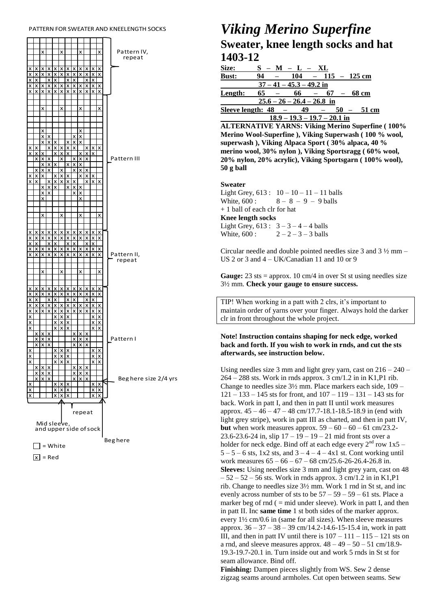#### PATTERN FOR SWEATER AND KNEEL ENGTH SOCKS



 $\overline{x}$  = Red

## **Viking Merino Superfine** Sweater, knee length socks and hat 1403-12

| <b>Size:</b> | $S - M - L - XL$                                         |
|--------------|----------------------------------------------------------|
| <b>Bust:</b> | 94<br>$104 - 115 - 125$ cm                               |
|              | $37 - 41 - 45.3 - 49.2$ in                               |
| Length:      | 65<br>$66 - 67 - 68$ cm                                  |
|              | $25.6 - 26 - 26.4 - 26.8$ in                             |
|              | Sleeve length: $48 -$<br>49<br>50<br>51 cm<br>$\sim$ $-$ |
|              | $103 \t107 \t201 \text{in}$<br>1 Q O                     |

**ALTERNATIVE YARNS: Viking Merino Superfine (100%** Merino Wool-Superfine ), Viking Superwash (100 % wool, superwash), Viking Alpaca Sport (30% alpaca, 40 % merino wool, 30% nylon), Viking Sportsragg (60% wool, 20% nylon, 20% acrylic), Viking Sportsgarn (100% wool),  $50$  g ball

### **Sweater**

Light Grey,  $613: 10-10-11-11$  balls  $8 - 8 - 9 - 9$  balls White, 600 : + 1 ball of each clr for hat **Knee length socks** Light Grey,  $613: 3 - 3 - 4 - 4$  balls  $2 - 2 - 3 - 3$  balls White, 600 :

Circular needle and double pointed needles size 3 and  $3\frac{1}{2}$  mm – US 2 or 3 and  $4 - UK/Canadian$  11 and 10 or 9

**Gauge:** 23 sts = approx. 10 cm/4 in over St st using needles size 3½ mm. Check your gauge to ensure success.

TIP! When working in a patt with 2 clrs, it's important to maintain order of yarns over your finger. Always hold the darker clr in front throughout the whole project.

## Note! Instruction contains shaping for neck edge, worked back and forth. If you wish to work in rnds, and cut the sts afterwards, see instruction below.

Using needles size 3 mm and light grey yarn, cast on  $216 - 240$  –  $264 - 288$  sts. Work in rnds approx. 3 cm/1.2 in in K1,P1 rib. Change to needles size  $3\frac{1}{2}$  mm. Place markers each side,  $109 121 - 133 - 145$  sts for front, and  $107 - 119 - 131 - 143$  sts for back. Work in patt I, and then in patt II until work measures approx.  $45 - 46 - 47 - 48$  cm/17.7-18.1-18.5-18.9 in (end with light grey stripe), work in patt III as charted, and then in patt IV, **but** when work measures approx.  $59 - 60 - 60 - 61$  cm/23.2-23.6-23.6-24 in, slip  $17 - 19 - 19 - 21$  mid front sts over a holder for neck edge. Bind off at each edge every  $2^{nd}$  row  $1x5 5-5-6$  sts, 1x2 sts, and  $3-4-4-4x1$  st. Cont working until work measures  $65 - 66 - 67 - 68$  cm/25.6-26-26.4-26.8 in. Sleeves: Using needles size 3 mm and light grey yarn, cast on 48  $-52 - 52 - 56$  sts. Work in rnds approx. 3 cm/1.2 in in K1,P1 rib. Change to needles size  $3\frac{1}{2}$  mm. Work 1 rnd in St st, and inc evenly across number of sts to be  $57 - 59 - 59 - 61$  sts. Place a marker beg of rnd  $($  = mid under sleeve). Work in patt I, and then in patt II. Inc same time 1 st both sides of the marker approx. every  $1\frac{1}{2}$  cm/0.6 in (same for all sizes). When sleeve measures approx.  $36 - 37 - 38 - 39$  cm/14.2-14.6-15-15.4 in, work in patt III, and then in patt IV until there is  $107 - 111 - 115 - 121$  sts on a rnd, and sleeve measures approx.  $48 - 49 - 50 - 51$  cm/18.9-19.3-19.7-20.1 in. Turn inside out and work 5 rnds in St st for seam allowance. Bind off.

Finishing: Dampen pieces slightly from WS. Sew 2 dense zigzag seams around armholes. Cut open between seams. Sew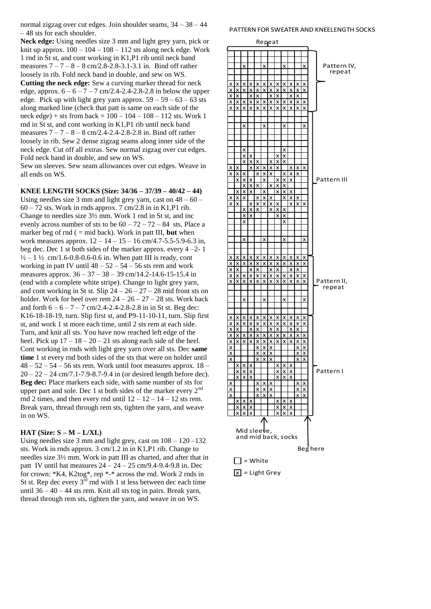normal zigzag over cut edges. Join shoulder seams, 34 – 38 – 44 – 48 sts for each shoulder.

**Neck edge:** Using needles size 3 mm and light grey yarn, pick or knit up approx.  $100 - 104 - 108 - 112$  sts along neck edge. Work 1 rnd in St st, and cont working in K1,P1 rib until neck band measures  $7 - 7 - 8 - 8$  cm/2.8-2.8-3.1-3.1 in. Bind off rather loosely in rib. Fold neck band in double, and sew on WS. **Cutting the neck edge:** Sew a curving marker thread for neck edge, approx.  $6 - 6 - 7 - 7$  cm/2.4-2.4-2.8-2.8 in below the upper edge. Pick up with light grey yarn approx.  $59 - 59 - 63 - 63$  sts along marked line (check that patt is same on each side of the neck edge) + sts from back =  $100 - 104 - 108 - 112$  sts. Work 1 rnd in St st, and cont working in K1,P1 rib until neck band measures  $7 - 7 - 8 - 8$  cm/2.4-2.4-2.8-2.8 in. Bind off rather loosely in rib. Sew 2 dense zigzag seams along inner side of the neck edge. Cut off all extras. Sew normal zigzag over cut edges. Fold neck band in double, and sew on WS. Sew on sleeves. Sew seam allowances over cut edges. Weave in all ends on WS.

**KNEE LENGTH SOCKS (Size: 34/36 – 37/39 – 40/42 – 44)** Using needles size 3 mm and light grey yarn, cast on  $48 - 60 -$ 60 – 72 sts. Work in rnds approx. 7 cm/2.8 in in K1,P1 rib. Change to needles size 3½ mm. Work 1 rnd in St st, and inc evenly across number of sts to be  $60 - 72 - 72 - 84$  sts. Place a marker beg of rnd ( = mid back). Work in patt III, **but** when work measures approx.  $12 - 14 - 15 - 16$  cm/4.7-5.5-5.9-6.3 in, beg dec. Dec 1 st both sides of the marker approx. every  $4 - 2 - 1$  $\frac{1}{2} - 1 \frac{1}{2}$  cm/1.6-0.8-0.6-0.6 in. When patt III is ready, cont working in patt IV until  $48 - 52 - 54 - 56$  sts rem and work measures approx.  $36 - 37 - 38 - 39$  cm/14.2-14.6-15-15.4 in (end with a complete white stripe). Change to light grey yarn, and cont working in St st. Slip  $24 - 26 - 27 - 28$  mid front sts on holder. Work for heel over rem  $24 - 26 - 27 - 28$  sts. Work back and forth  $6 - 6 - 7 - 7$  cm/2.4-2.4-2.8-2.8 in in St st. Beg dec: K16-18-18-19, turn. Slip first st, and P9-11-10-11, turn. Slip first st, and work 1 st more each time, until 2 sts rem at each side. Turn, and knit all sts. You have now reached left edge of the heel. Pick up  $17 - 18 - 20 - 21$  sts along each side of the heel. Cont working in rnds with light grey yarn over all sts. Dec **same time** 1 st every rnd both sides of the sts that were on holder until  $48 - 52 - 54 - 56$  sts rem. Work until foot measures approx.  $18 -$ 20 – 22 – 24 cm/7.1-7.9-8.7-9.4 in (or desired length before dec). **Beg dec:** Place markers each side, with same number of sts for upper part and sole. Dec 1 st both sides of the marker every  $2<sup>nd</sup>$ rnd 2 times, and then every rnd until  $12 - 12 - 14 - 12$  sts rem. Break yarn, thread through rem sts, tighten the yarn, and weave in on WS.

### **HAT (Size: S – M – L/XL)**

Using needles size 3 mm and light grey, cast on  $108 - 120 - 132$ sts. Work in rnds approx. 3 cm/1.2 in in K1,P1 rib. Change to needles size 3½ mm. Work in patt III as charted, and after that in patt IV until hat measures 24 – 24 – 25 cm/9.4-9.4-9.8 in. Dec for crown: \*K4, K2tog\*, rep \*-\* across the rnd. Work 2 rnds in St st. Rep dec every  $3^{\overline{rd}}$  rnd with 1 st less between dec each time until 36 – 40 – 44 sts rem. Knit all sts tog in pairs. Break yarn, thread through rem sts, tighten the yarn, and weave in on WS.

#### PATTERN FOR SWEATER AND KNEELENGTH SOCKS

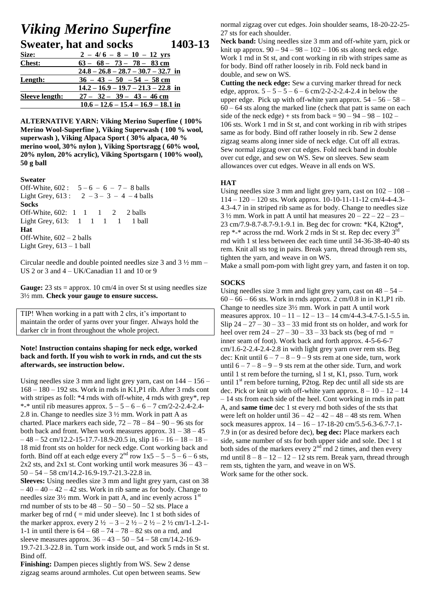## *Viking Merino Superfine* **Sweater, hat and socks 1403-13**

| Size:                 | $2 - 4/6 - 8 - 10 - 12$ yrs           |
|-----------------------|---------------------------------------|
| <b>Chest:</b>         | $63 - 68 - 73 - 78 - 83$ cm           |
|                       | $24.8 - 26.8 - 28.7 - 30.7 - 32.7$ in |
| Length:               | $36 - 43 - 50 - 54 - 58$ cm           |
|                       | $14.2 - 16.9 - 19.7 - 21.3 - 22.8$ in |
| <b>Sleeve length:</b> | $27 - 32 - 39 - 43 - 46$ cm           |
|                       | $10.6 - 12.6 - 15.4 - 16.9 - 18.1$ in |

**ALTERNATIVE YARN: Viking Merino Superfine ( 100% Merino Wool-Superfine ), Viking Superwash ( 100 % wool, superwash ), Viking Alpaca Sport ( 30% alpaca, 40 % merino wool, 30% nylon ), Viking Sportsragg ( 60% wool, 20% nylon, 20% acrylic), Viking Sportsgarn ( 100% wool), 50 g ball**

### **Sweater**

Off-White,  $602: 5-6-6-7-8$  balls Light Grey,  $613: 2 - 3 - 3 - 4 - 4$  balls **Socks** Off-White, 602: 1 1 1 2 2 balls Light Grey, 613: 1 1 1 1 1 ball **Hat** Off-White, 602 – 2 balls Light Grey,  $613 - 1$  ball

Circular needle and double pointed needles size 3 and 3 ½ mm – US 2 or 3 and 4 – UK/Canadian 11 and 10 or 9

Gauge: 23 sts = approx. 10 cm/4 in over St st using needles size 3½ mm. **Check your gauge to ensure success.** 

TIP! When working in a patt with 2 clrs, it's important to maintain the order of yarns over your finger. Always hold the darker clr in front throughout the whole project.

## **Note! Instruction contains shaping for neck edge, worked back and forth. If you wish to work in rnds, and cut the sts afterwards, see instruction below.**

Using needles size 3 mm and light grey yarn, cast on 144 – 156 – 168 – 180 – 192 sts. Work in rnds in K1,P1 rib. After 3 rnds cont with stripes as foll: \*4 rnds with off-white, 4 rnds with grey\*, rep \*-\* until rib measures approx.  $5 - 5 - 6 - 6 - 7$  cm/2-2-2.4-2.4-2.8 in. Change to needles size 3 ½ mm. Work in patt A as charted. Place markers each side,  $72 - 78 - 84 - 90 - 96$  sts for both back and front. When work measures approx. 31 – 38 – 45  $-48 - 52$  cm/12.2-15-17.7-18.9-20.5 in, slip  $16 - 16 - 18 - 18 - 18$ 18 mid front sts on holder for neck edge. Cont working back and forth. Bind off at each edge every  $2^{nd}$  row  $1x5 - 5 - 5 - 6 - 6$  sts,  $2x2$  sts, and  $2x1$  st. Cont working until work measures  $36 - 43$  $50 - 54 - 58$  cm/14.2-16.9-19.7-21.3-22.8 in. **Sleeves:** Using needles size 3 mm and light grey yarn, cast on 38  $-40-40-42-42$  sts. Work in rib same as for body. Change to needles size  $3\frac{1}{2}$  mm. Work in patt A, and inc evenly across  $1<sup>st</sup>$ rnd number of sts to be  $48 - 50 - 50 - 50 - 52$  sts. Place a marker beg of rnd  $($  = mid under sleeve). Inc 1 st both sides of the marker approx. every  $2 \frac{1}{2} - 3 - 2 \frac{1}{2} - 2 \frac{1}{2} - 2 \frac{1}{2}$  cm/1-1.2-1-1-1 in until there is 64 – 68 – 74 – 78 – 82 sts on a rnd, and

sleeve measures approx.  $36 - 43 - 50 - 54 - 58$  cm/14.2-16.9-19.7-21.3-22.8 in. Turn work inside out, and work 5 rnds in St st. Bind off.

**Finishing:** Dampen pieces slightly from WS. Sew 2 dense zigzag seams around armholes. Cut open between seams. Sew normal zigzag over cut edges. Join shoulder seams, 18-20-22-25- 27 sts for each shoulder.

**Neck band:** Using needles size 3 mm and off-white yarn, pick or knit up approx.  $90 - 94 - 98 - 102 - 106$  sts along neck edge. Work 1 rnd in St st, and cont working in rib with stripes same as for body. Bind off rather loosely in rib. Fold neck band in double, and sew on WS.

**Cutting the neck edge:** Sew a curving marker thread for neck edge, approx.  $5 - 5 - 5 - 6 - 6$  cm/2-2-2-2.4-2.4 in below the upper edge. Pick up with off-white yarn approx.  $54 - 56 - 58$  $60 - 64$  sts along the marked line (check that patt is same on each side of the neck edge) + sts from back =  $90 - 94 - 98 - 102$  – 106 sts. Work 1 rnd in St st, and cont working in rib with stripes same as for body. Bind off rather loosely in rib. Sew 2 dense zigzag seams along inner side of neck edge. Cut off all extras. Sew normal zigzag over cut edges. Fold neck band in double over cut edge, and sew on WS. Sew on sleeves. Sew seam allowances over cut edges. Weave in all ends on WS.

## **HAT**

Using needles size 3 mm and light grey yarn, cast on 102 – 108 – 114 – 120 – 120 sts. Work approx. 10-10-11-11-12 cm/4-4-4.3- 4.3-4.7 in in striped rib same as for body. Change to needles size  $3\frac{1}{2}$  mm. Work in patt A until hat measures  $20 - 22 - 22 - 23$ 23 cm/7.9-8.7-8.7-9.1-9.1 in. Beg dec for crown: \*K4, K2tog\*, rep  $*$ - $*$  across the rnd. Work 2 rnds in St st. Rep dec every  $3<sup>rd</sup>$ rnd with 1 st less between dec each time until 34-36-38-40-40 sts rem. Knit all sts tog in pairs. Break yarn, thread through rem sts, tighten the yarn, and weave in on WS.

Make a small pom-pom with light grey yarn, and fasten it on top.

## **SOCKS**

Using needles size 3 mm and light grey yarn, cast on  $48 - 54$  –  $60 - 66 - 66$  sts. Work in rnds approx. 2 cm/0.8 in in K1,P1 rib. Change to needles size 3½ mm. Work in patt A until work measures approx.  $10 - 11 - 12 - 13 - 14$  cm/4-4.3-4.7-5.1-5.5 in. Slip  $24 - 27 - 30 - 33 - 33$  mid front sts on holder, and work for heel over rem  $24 - 27 - 30 - 33 - 33$  back sts (beg of rnd = inner seam of foot). Work back and forth approx. 4-5-6-6-7 cm/1.6-2-2.4-2.4-2.8 in with light grey yarn over rem sts. Beg dec: Knit until  $6 - 7 - 8 - 9 - 9$  sts rem at one side, turn, work until  $6 - 7 - 8 - 9 - 9$  sts rem at the other side. Turn, and work until 1 st rem before the turning, sl 1 st, K1, psso. Turn, work until  $1<sup>st</sup>$  rem before turning, P2tog. Rep dec until all side sts are dec. Pick or knit up with off-white yarn approx.  $8 - 10 - 12 - 14$ – 14 sts from each side of the heel. Cont working in rnds in patt A, and **same time** dec 1 st every rnd both sides of the sts that were left on holder until  $36 - 42 - 42 - 48 - 48$  sts rem. When sock measures approx. 14 – 16 – 17-18-20 cm/5.5-6.3-6.7-7.1- 7.9 in (or as desired before dec), **beg dec:** Place markers each side, same number of sts for both upper side and sole. Dec 1 st both sides of the markers every  $2<sup>nd</sup>$  rnd 2 times, and then every rnd until  $8 - 8 - 12 - 12 - 12$  sts rem. Break yarn, thread through rem sts, tighten the yarn, and weave in on WS. Work same for the other sock.